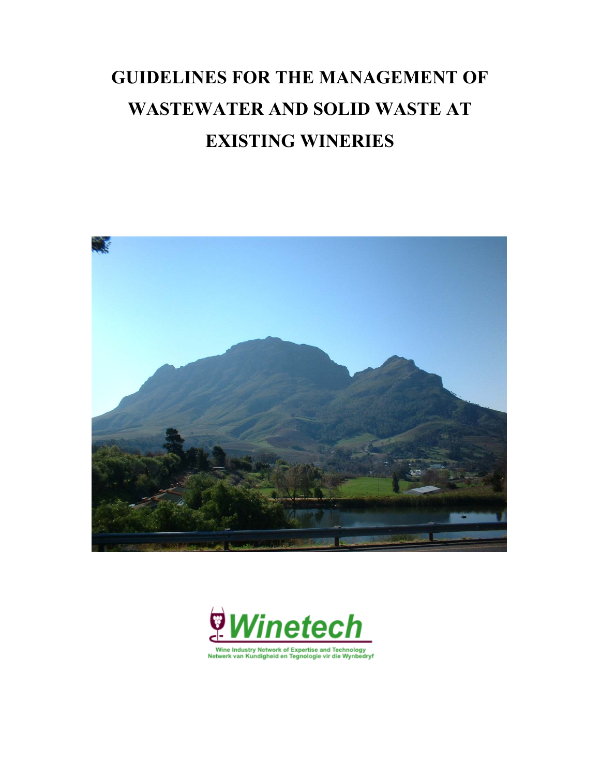# **GUIDELINES FOR THE MANAGEMENT OF WASTEWATER AND SOLID WASTE AT EXISTING WINERIES**



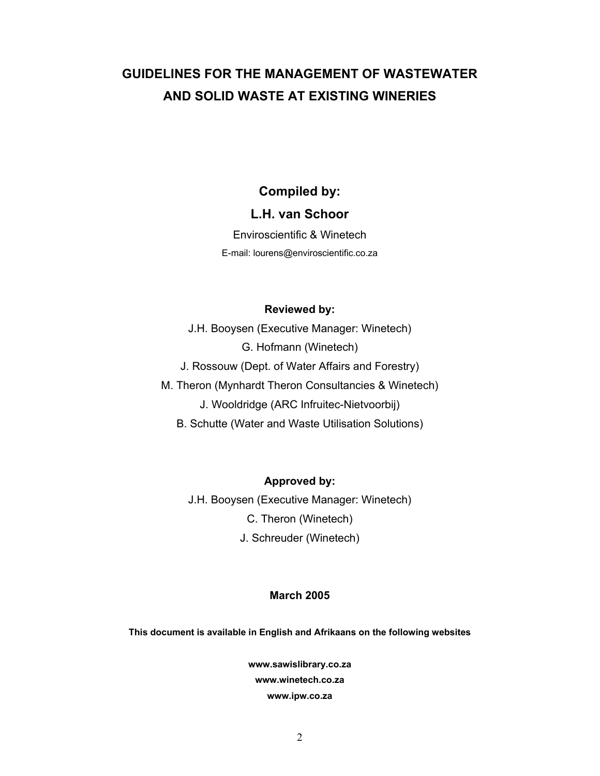# **GUIDELINES FOR THE MANAGEMENT OF WASTEWATER AND SOLID WASTE AT EXISTING WINERIES**

# **Compiled by:**

# **L.H. van Schoor**

Enviroscientific & Winetech E-mail: lourens@enviroscientific.co.za

# **Reviewed by:**

J.H. Booysen (Executive Manager: Winetech) G. Hofmann (Winetech)

J. Rossouw (Dept. of Water Affairs and Forestry)

M. Theron (Mynhardt Theron Consultancies & Winetech)

J. Wooldridge (ARC Infruitec-Nietvoorbij)

B. Schutte (Water and Waste Utilisation Solutions)

**Approved by:** 

J.H. Booysen (Executive Manager: Winetech) C. Theron (Winetech) J. Schreuder (Winetech)

# **March 2005**

**This document is available in English and Afrikaans on the following websites** 

**www.sawislibrary.co.za www.winetech.co.za www.ipw.co.za**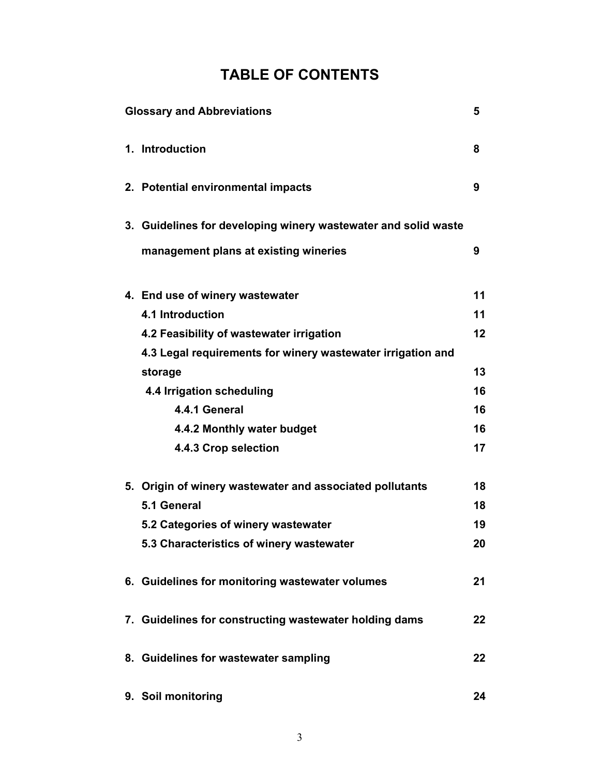# **TABLE OF CONTENTS**

| <b>Glossary and Abbreviations</b>                              | 5       |
|----------------------------------------------------------------|---------|
| 1. Introduction                                                | 8       |
| 2. Potential environmental impacts                             | 9       |
| 3. Guidelines for developing winery wastewater and solid waste |         |
| management plans at existing wineries                          | 9       |
| 4. End use of winery wastewater                                | 11      |
| <b>4.1 Introduction</b>                                        | 11      |
| 4.2 Feasibility of wastewater irrigation                       | 12      |
| 4.3 Legal requirements for winery wastewater irrigation and    |         |
| storage                                                        | 13      |
| 4.4 Irrigation scheduling                                      | 16      |
| 4.4.1 General                                                  | 16      |
| 4.4.2 Monthly water budget                                     | 16      |
| 4.4.3 Crop selection                                           | 17      |
| 5. Origin of winery wastewater and associated pollutants       | 18      |
| 5.1 General                                                    | 18      |
| 5.2 Categories of winery wastewater                            | 19      |
| 5.3 Characteristics of winery wastewater                       | 20      |
| 6. Guidelines for monitoring wastewater volumes                | 21      |
| 7. Guidelines for constructing wastewater holding dams         | 22      |
| 8. Guidelines for wastewater sampling                          | $22 \,$ |
| 9. Soil monitoring                                             | 24      |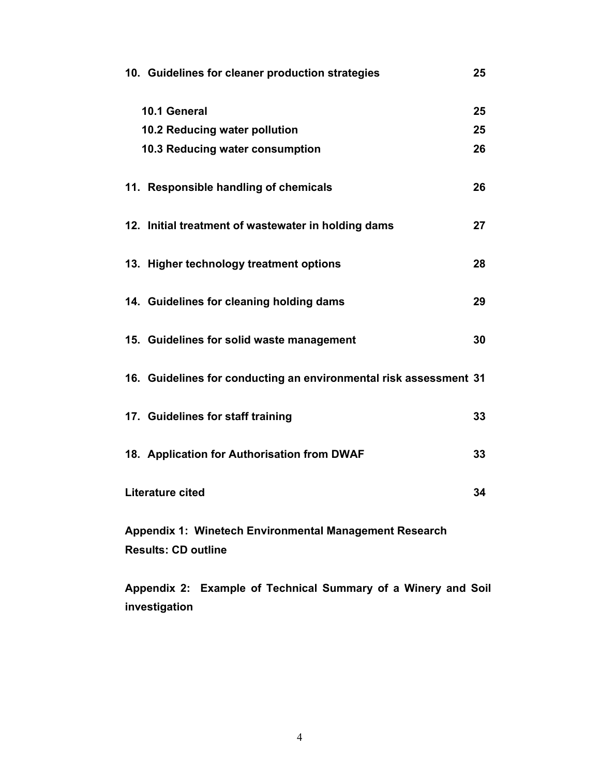| 10. Guidelines for cleaner production strategies                                            | 25 |
|---------------------------------------------------------------------------------------------|----|
| 10.1 General                                                                                | 25 |
| 10.2 Reducing water pollution                                                               | 25 |
| 10.3 Reducing water consumption                                                             | 26 |
| 11. Responsible handling of chemicals                                                       | 26 |
| 12. Initial treatment of wastewater in holding dams                                         | 27 |
| 13. Higher technology treatment options                                                     | 28 |
| 14. Guidelines for cleaning holding dams                                                    | 29 |
| 15. Guidelines for solid waste management                                                   | 30 |
| 16. Guidelines for conducting an environmental risk assessment 31                           |    |
| 17. Guidelines for staff training                                                           | 33 |
| 18. Application for Authorisation from DWAF                                                 | 33 |
| Literature cited                                                                            | 34 |
| <b>Appendix 1: Winetech Environmental Management Research</b><br><b>Results: CD outline</b> |    |

**Appendix 2: Example of Technical Summary of a Winery and Soil investigation**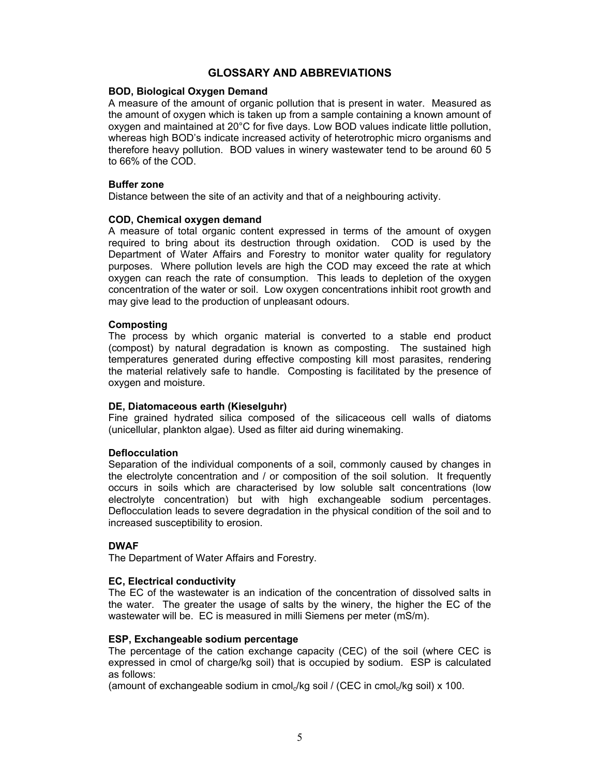# **GLOSSARY AND ABBREVIATIONS**

# **BOD, Biological Oxygen Demand**

A measure of the amount of organic pollution that is present in water. Measured as the amount of oxygen which is taken up from a sample containing a known amount of oxygen and maintained at 20°C for five days. Low BOD values indicate little pollution, whereas high BOD's indicate increased activity of heterotrophic micro organisms and therefore heavy pollution. BOD values in winery wastewater tend to be around 60 5 to 66% of the COD.

# **Buffer zone**

Distance between the site of an activity and that of a neighbouring activity.

# **COD, Chemical oxygen demand**

A measure of total organic content expressed in terms of the amount of oxygen required to bring about its destruction through oxidation. COD is used by the Department of Water Affairs and Forestry to monitor water quality for regulatory purposes. Where pollution levels are high the COD may exceed the rate at which oxygen can reach the rate of consumption. This leads to depletion of the oxygen concentration of the water or soil. Low oxygen concentrations inhibit root growth and may give lead to the production of unpleasant odours.

# **Composting**

The process by which organic material is converted to a stable end product (compost) by natural degradation is known as composting. The sustained high temperatures generated during effective composting kill most parasites, rendering the material relatively safe to handle. Composting is facilitated by the presence of oxygen and moisture.

# **DE, Diatomaceous earth (Kieselguhr)**

Fine grained hydrated silica composed of the silicaceous cell walls of diatoms (unicellular, plankton algae). Used as filter aid during winemaking.

# **Deflocculation**

Separation of the individual components of a soil, commonly caused by changes in the electrolyte concentration and / or composition of the soil solution. It frequently occurs in soils which are characterised by low soluble salt concentrations (low electrolyte concentration) but with high exchangeable sodium percentages. Deflocculation leads to severe degradation in the physical condition of the soil and to increased susceptibility to erosion.

# **DWAF**

The Department of Water Affairs and Forestry.

# **EC, Electrical conductivity**

The EC of the wastewater is an indication of the concentration of dissolved salts in the water. The greater the usage of salts by the winery, the higher the EC of the wastewater will be. EC is measured in milli Siemens per meter (mS/m).

# **ESP, Exchangeable sodium percentage**

The percentage of the cation exchange capacity (CEC) of the soil (where CEC is expressed in cmol of charge/kg soil) that is occupied by sodium. ESP is calculated as follows:

(amount of exchangeable sodium in cmol $\mathcal{N}$ kg soil / (CEC in cmol $\mathcal{N}$ kg soil) x 100.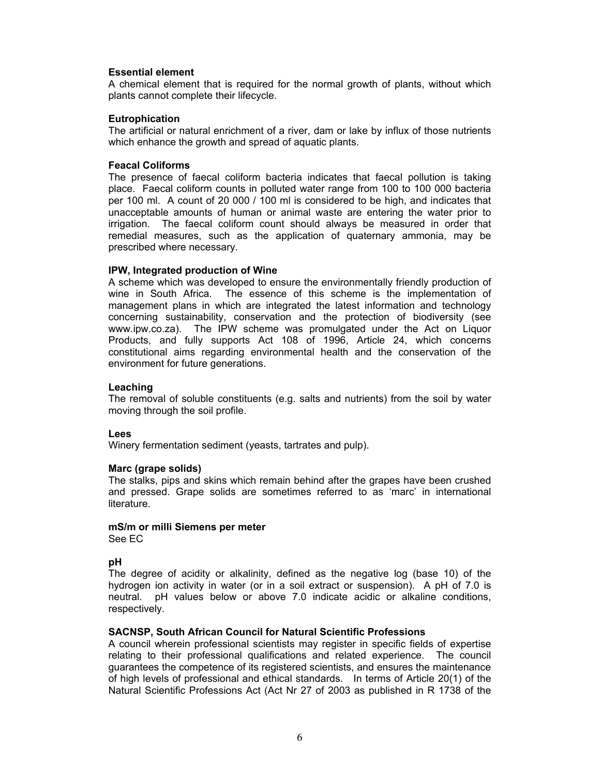# **Essential element**

A chemical element that is required for the normal growth of plants, without which plants cannot complete their lifecycle.

# **Eutrophication**

The artificial or natural enrichment of a river, dam or lake by influx of those nutrients which enhance the growth and spread of aquatic plants.

### **Feacal Coliforms**

The presence of faecal coliform bacteria indicates that faecal pollution is taking place. Faecal coliform counts in polluted water range from 100 to 100 000 bacteria per 100 ml. A count of 20 000 / 100 ml is considered to be high, and indicates that unacceptable amounts of human or animal waste are entering the water prior to irrigation. The faecal coliform count should always be measured in order that remedial measures, such as the application of quaternary ammonia, may be prescribed where necessary.

### **IPW, Integrated production of Wine**

A scheme which was developed to ensure the environmentally friendly production of wine in South Africa. The essence of this scheme is the implementation of management plans in which are integrated the latest information and technology concerning sustainability, conservation and the protection of biodiversity (see www.ipw.co.za). The IPW scheme was promulgated under the Act on Liquor Products, and fully supports Act 108 of 1996, Article 24, which concerns constitutional aims regarding environmental health and the conservation of the environment for future generations.

# **Leaching**

The removal of soluble constituents (e.g. salts and nutrients) from the soil by water moving through the soil profile.

#### **Lees**

Winery fermentation sediment (yeasts, tartrates and pulp).

#### **Marc (grape solids)**

The stalks, pips and skins which remain behind after the grapes have been crushed and pressed. Grape solids are sometimes referred to as 'marc' in international literature.

# **mS/m or milli Siemens per meter**

See EC

# **pH**

The degree of acidity or alkalinity, defined as the negative log (base 10) of the hydrogen ion activity in water (or in a soil extract or suspension). A pH of 7.0 is neutral. pH values below or above 7.0 indicate acidic or alkaline conditions, respectively.

# **SACNSP, South African Council for Natural Scientific Professions**

A council wherein professional scientists may register in specific fields of expertise relating to their professional qualifications and related experience. The council guarantees the competence of its registered scientists, and ensures the maintenance of high levels of professional and ethical standards. In terms of Article 20(1) of the Natural Scientific Professions Act (Act Nr 27 of 2003 as published in R 1738 of the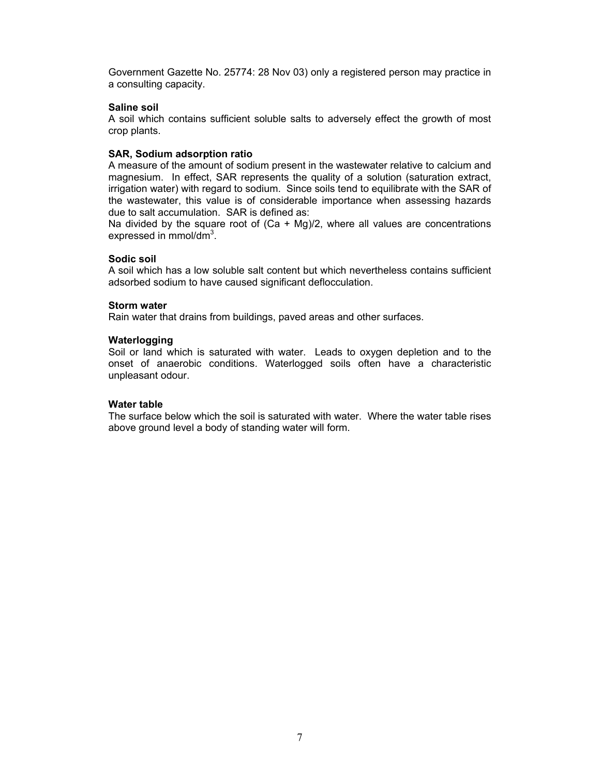Government Gazette No. 25774: 28 Nov 03) only a registered person may practice in a consulting capacity.

# **Saline soil**

A soil which contains sufficient soluble salts to adversely effect the growth of most crop plants.

# **SAR, Sodium adsorption ratio**

A measure of the amount of sodium present in the wastewater relative to calcium and magnesium. In effect, SAR represents the quality of a solution (saturation extract, irrigation water) with regard to sodium. Since soils tend to equilibrate with the SAR of the wastewater, this value is of considerable importance when assessing hazards due to salt accumulation. SAR is defined as:

Na divided by the square root of  $(Ca + Mg)/2$ , where all values are concentrations expressed in mmol/dm<sup>3</sup>.

# **Sodic soil**

A soil which has a low soluble salt content but which nevertheless contains sufficient adsorbed sodium to have caused significant deflocculation.

# **Storm water**

Rain water that drains from buildings, paved areas and other surfaces.

# **Waterlogging**

Soil or land which is saturated with water. Leads to oxygen depletion and to the onset of anaerobic conditions. Waterlogged soils often have a characteristic unpleasant odour.

# **Water table**

The surface below which the soil is saturated with water. Where the water table rises above ground level a body of standing water will form.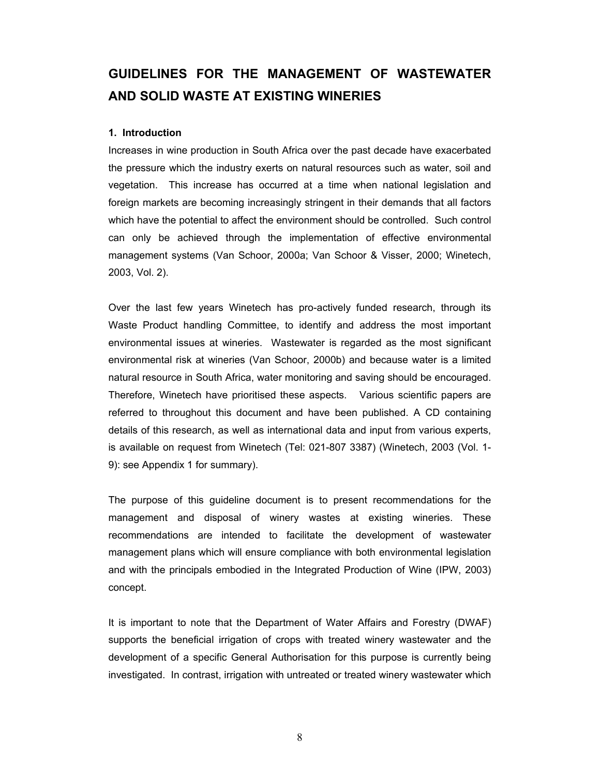# **GUIDELINES FOR THE MANAGEMENT OF WASTEWATER AND SOLID WASTE AT EXISTING WINERIES**

# **1. Introduction**

Increases in wine production in South Africa over the past decade have exacerbated the pressure which the industry exerts on natural resources such as water, soil and vegetation. This increase has occurred at a time when national legislation and foreign markets are becoming increasingly stringent in their demands that all factors which have the potential to affect the environment should be controlled. Such control can only be achieved through the implementation of effective environmental management systems (Van Schoor, 2000a; Van Schoor & Visser, 2000; Winetech, 2003, Vol. 2).

Over the last few years Winetech has pro-actively funded research, through its Waste Product handling Committee, to identify and address the most important environmental issues at wineries. Wastewater is regarded as the most significant environmental risk at wineries (Van Schoor, 2000b) and because water is a limited natural resource in South Africa, water monitoring and saving should be encouraged. Therefore, Winetech have prioritised these aspects. Various scientific papers are referred to throughout this document and have been published. A CD containing details of this research, as well as international data and input from various experts, is available on request from Winetech (Tel: 021-807 3387) (Winetech, 2003 (Vol. 1- 9): see Appendix 1 for summary).

The purpose of this guideline document is to present recommendations for the management and disposal of winery wastes at existing wineries. These recommendations are intended to facilitate the development of wastewater management plans which will ensure compliance with both environmental legislation and with the principals embodied in the Integrated Production of Wine (IPW, 2003) concept.

It is important to note that the Department of Water Affairs and Forestry (DWAF) supports the beneficial irrigation of crops with treated winery wastewater and the development of a specific General Authorisation for this purpose is currently being investigated. In contrast, irrigation with untreated or treated winery wastewater which

8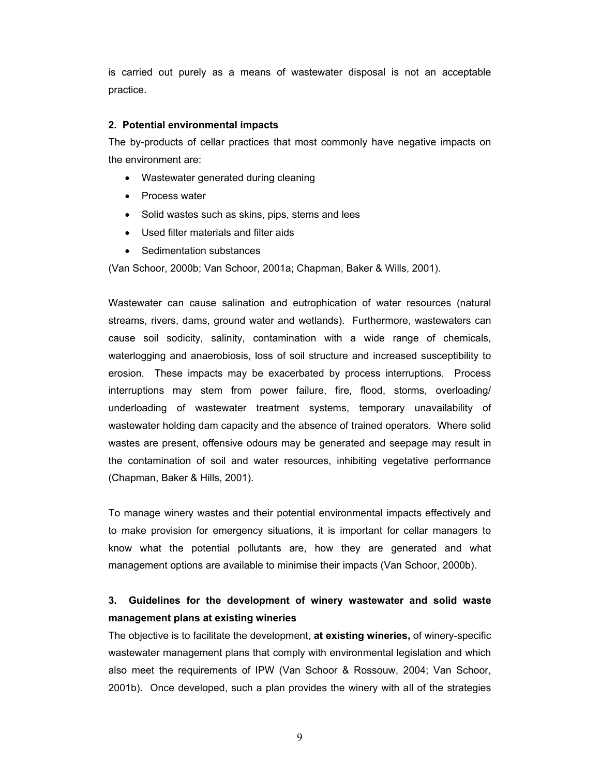is carried out purely as a means of wastewater disposal is not an acceptable practice.

# **2. Potential environmental impacts**

The by-products of cellar practices that most commonly have negative impacts on the environment are:

- Wastewater generated during cleaning
- Process water
- Solid wastes such as skins, pips, stems and lees
- Used filter materials and filter aids
- Sedimentation substances

(Van Schoor, 2000b; Van Schoor, 2001a; Chapman, Baker & Wills, 2001).

Wastewater can cause salination and eutrophication of water resources (natural streams, rivers, dams, ground water and wetlands). Furthermore, wastewaters can cause soil sodicity, salinity, contamination with a wide range of chemicals, waterlogging and anaerobiosis, loss of soil structure and increased susceptibility to erosion. These impacts may be exacerbated by process interruptions. Process interruptions may stem from power failure, fire, flood, storms, overloading/ underloading of wastewater treatment systems, temporary unavailability of wastewater holding dam capacity and the absence of trained operators. Where solid wastes are present, offensive odours may be generated and seepage may result in the contamination of soil and water resources, inhibiting vegetative performance (Chapman, Baker & Hills, 2001).

To manage winery wastes and their potential environmental impacts effectively and to make provision for emergency situations, it is important for cellar managers to know what the potential pollutants are, how they are generated and what management options are available to minimise their impacts (Van Schoor, 2000b).

# **3. Guidelines for the development of winery wastewater and solid waste management plans at existing wineries**

The objective is to facilitate the development, **at existing wineries,** of winery-specific wastewater management plans that comply with environmental legislation and which also meet the requirements of IPW (Van Schoor & Rossouw, 2004; Van Schoor, 2001b). Once developed, such a plan provides the winery with all of the strategies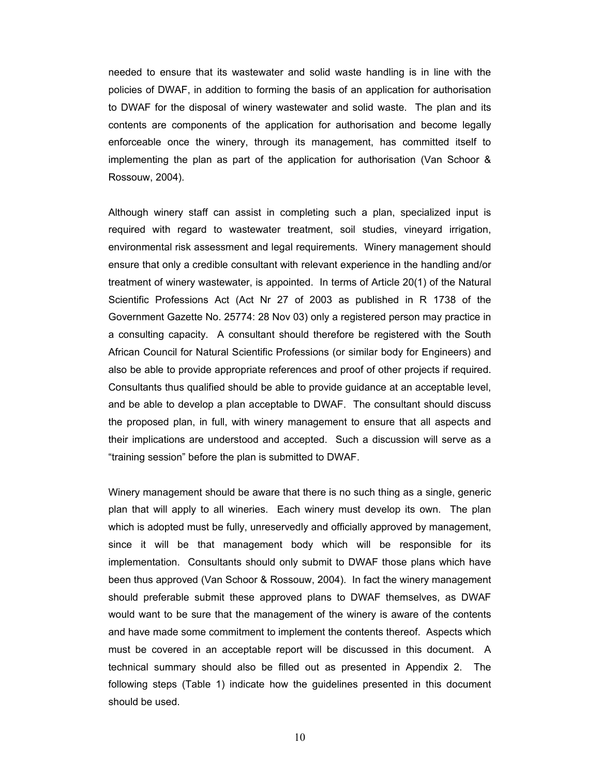needed to ensure that its wastewater and solid waste handling is in line with the policies of DWAF, in addition to forming the basis of an application for authorisation to DWAF for the disposal of winery wastewater and solid waste. The plan and its contents are components of the application for authorisation and become legally enforceable once the winery, through its management, has committed itself to implementing the plan as part of the application for authorisation (Van Schoor & Rossouw, 2004).

Although winery staff can assist in completing such a plan, specialized input is required with regard to wastewater treatment, soil studies, vineyard irrigation, environmental risk assessment and legal requirements. Winery management should ensure that only a credible consultant with relevant experience in the handling and/or treatment of winery wastewater, is appointed. In terms of Article 20(1) of the Natural Scientific Professions Act (Act Nr 27 of 2003 as published in R 1738 of the Government Gazette No. 25774: 28 Nov 03) only a registered person may practice in a consulting capacity. A consultant should therefore be registered with the South African Council for Natural Scientific Professions (or similar body for Engineers) and also be able to provide appropriate references and proof of other projects if required. Consultants thus qualified should be able to provide guidance at an acceptable level, and be able to develop a plan acceptable to DWAF. The consultant should discuss the proposed plan, in full, with winery management to ensure that all aspects and their implications are understood and accepted. Such a discussion will serve as a "training session" before the plan is submitted to DWAF.

Winery management should be aware that there is no such thing as a single, generic plan that will apply to all wineries. Each winery must develop its own. The plan which is adopted must be fully, unreservedly and officially approved by management, since it will be that management body which will be responsible for its implementation. Consultants should only submit to DWAF those plans which have been thus approved (Van Schoor & Rossouw, 2004). In fact the winery management should preferable submit these approved plans to DWAF themselves, as DWAF would want to be sure that the management of the winery is aware of the contents and have made some commitment to implement the contents thereof. Aspects which must be covered in an acceptable report will be discussed in this document. A technical summary should also be filled out as presented in Appendix 2. The following steps (Table 1) indicate how the guidelines presented in this document should be used.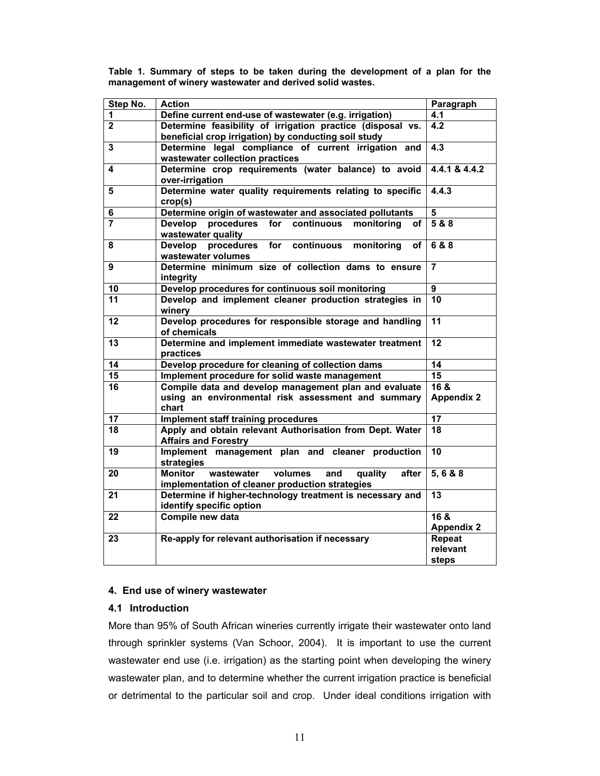| Step No.                | <b>Action</b>                                                                                                         | Paragraph                          |
|-------------------------|-----------------------------------------------------------------------------------------------------------------------|------------------------------------|
| 1                       | Define current end-use of wastewater (e.g. irrigation)                                                                | 4.1                                |
| $\mathbf{2}$            | Determine feasibility of irrigation practice (disposal vs.<br>beneficial crop irrigation) by conducting soil study    | 4.2                                |
| $\overline{\mathbf{3}}$ | Determine legal compliance of current irrigation and<br>wastewater collection practices                               | $\overline{4.3}$                   |
| 4                       | Determine crop requirements (water balance) to avoid<br>over-irrigation                                               | 4.4.1 & 4.4.2                      |
| 5                       | Determine water quality requirements relating to specific<br>crop(s)                                                  | 4.4.3                              |
| 6                       | Determine origin of wastewater and associated pollutants                                                              | $5\phantom{1}$                     |
| $\overline{7}$          | procedures<br>Develop<br>for<br>continuous<br>monitoring<br>of<br>wastewater quality                                  | 588                                |
| 8                       | for<br>continuous<br>Develop procedures<br>monitoring<br>of<br>wastewater volumes                                     | 688                                |
| 9                       | Determine minimum size of collection dams to ensure<br>integrity                                                      | 7                                  |
| 10                      | Develop procedures for continuous soil monitoring                                                                     | $\overline{9}$                     |
| 11                      | Develop and implement cleaner production strategies in<br>winery                                                      | 10                                 |
| 12                      | Develop procedures for responsible storage and handling<br>of chemicals                                               | 11                                 |
| 13                      | Determine and implement immediate wastewater treatment<br>practices                                                   | 12                                 |
| $\overline{14}$         | Develop procedure for cleaning of collection dams                                                                     | 14                                 |
| $\overline{15}$         | Implement procedure for solid waste management                                                                        | $\overline{15}$                    |
| 16                      | Compile data and develop management plan and evaluate<br>using an environmental risk assessment and summary<br>chart  | $16$ &<br><b>Appendix 2</b>        |
| $\overline{17}$         | <b>Implement staff training procedures</b>                                                                            | 17                                 |
| 18                      | Apply and obtain relevant Authorisation from Dept. Water<br><b>Affairs and Forestry</b>                               | $\overline{18}$                    |
| 19                      | Implement management plan and cleaner production<br>strategies                                                        | 10                                 |
| 20                      | wastewater<br>volumes<br><b>Monitor</b><br>and<br>quality<br>after<br>implementation of cleaner production strategies | 5, 6 & 8                           |
| 21                      | Determine if higher-technology treatment is necessary and<br>identify specific option                                 | $\overline{13}$                    |
| 22                      | Compile new data                                                                                                      | 16 &<br><b>Appendix 2</b>          |
| 23                      | Re-apply for relevant authorisation if necessary                                                                      | <b>Repeat</b><br>relevant<br>steps |

**Table 1. Summary of steps to be taken during the development of a plan for the management of winery wastewater and derived solid wastes.** 

# **4. End use of winery wastewater**

# **4.1 Introduction**

More than 95% of South African wineries currently irrigate their wastewater onto land through sprinkler systems (Van Schoor, 2004). It is important to use the current wastewater end use (i.e. irrigation) as the starting point when developing the winery wastewater plan, and to determine whether the current irrigation practice is beneficial or detrimental to the particular soil and crop. Under ideal conditions irrigation with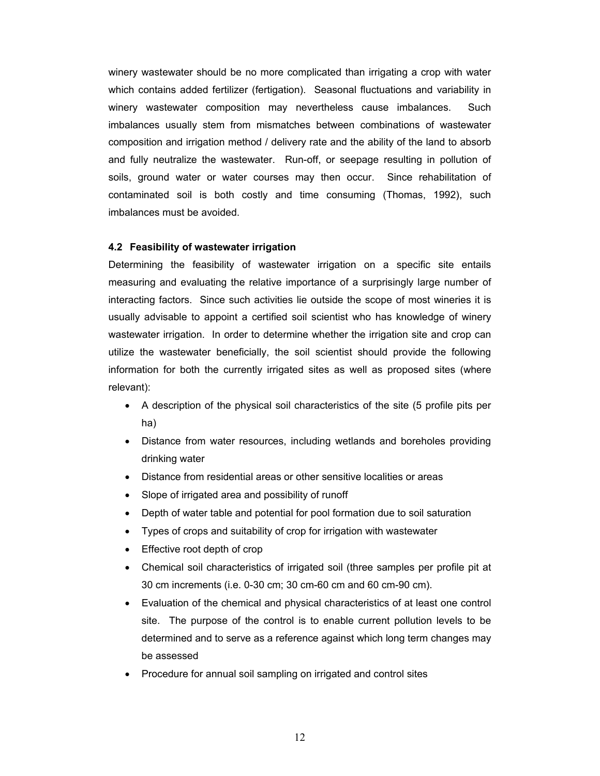winery wastewater should be no more complicated than irrigating a crop with water which contains added fertilizer (fertigation). Seasonal fluctuations and variability in winery wastewater composition may nevertheless cause imbalances. Such imbalances usually stem from mismatches between combinations of wastewater composition and irrigation method / delivery rate and the ability of the land to absorb and fully neutralize the wastewater. Run-off, or seepage resulting in pollution of soils, ground water or water courses may then occur. Since rehabilitation of contaminated soil is both costly and time consuming (Thomas, 1992), such imbalances must be avoided.

# **4.2 Feasibility of wastewater irrigation**

Determining the feasibility of wastewater irrigation on a specific site entails measuring and evaluating the relative importance of a surprisingly large number of interacting factors. Since such activities lie outside the scope of most wineries it is usually advisable to appoint a certified soil scientist who has knowledge of winery wastewater irrigation. In order to determine whether the irrigation site and crop can utilize the wastewater beneficially, the soil scientist should provide the following information for both the currently irrigated sites as well as proposed sites (where relevant):

- A description of the physical soil characteristics of the site (5 profile pits per ha)
- Distance from water resources, including wetlands and boreholes providing drinking water
- Distance from residential areas or other sensitive localities or areas
- Slope of irrigated area and possibility of runoff
- Depth of water table and potential for pool formation due to soil saturation
- Types of crops and suitability of crop for irrigation with wastewater
- Effective root depth of crop
- Chemical soil characteristics of irrigated soil (three samples per profile pit at 30 cm increments (i.e. 0-30 cm; 30 cm-60 cm and 60 cm-90 cm).
- Evaluation of the chemical and physical characteristics of at least one control site. The purpose of the control is to enable current pollution levels to be determined and to serve as a reference against which long term changes may be assessed
- Procedure for annual soil sampling on irrigated and control sites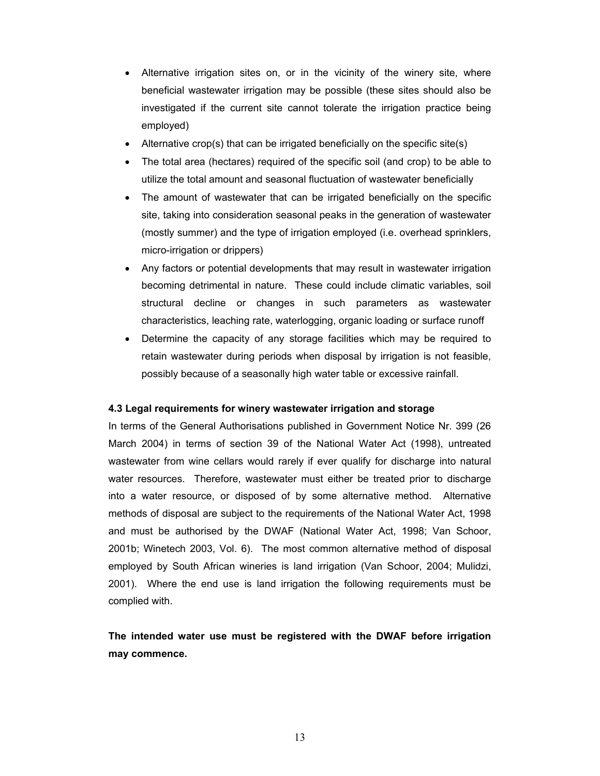- Alternative irrigation sites on, or in the vicinity of the winery site, where beneficial wastewater irrigation may be possible (these sites should also be investigated if the current site cannot tolerate the irrigation practice being employed)
- Alternative crop(s) that can be irrigated beneficially on the specific site(s)
- The total area (hectares) required of the specific soil (and crop) to be able to utilize the total amount and seasonal fluctuation of wastewater beneficially
- The amount of wastewater that can be irrigated beneficially on the specific site, taking into consideration seasonal peaks in the generation of wastewater (mostly summer) and the type of irrigation employed (i.e. overhead sprinklers, micro-irrigation or drippers)
- Any factors or potential developments that may result in wastewater irrigation becoming detrimental in nature. These could include climatic variables, soil structural decline or changes in such parameters as wastewater characteristics, leaching rate, waterlogging, organic loading or surface runoff
- Determine the capacity of any storage facilities which may be required to retain wastewater during periods when disposal by irrigation is not feasible, possibly because of a seasonally high water table or excessive rainfall.

# **4.3 Legal requirements for winery wastewater irrigation and storage**

In terms of the General Authorisations published in Government Notice Nr. 399 (26 March 2004) in terms of section 39 of the National Water Act (1998), untreated wastewater from wine cellars would rarely if ever qualify for discharge into natural water resources. Therefore, wastewater must either be treated prior to discharge into a water resource, or disposed of by some alternative method. Alternative methods of disposal are subject to the requirements of the National Water Act, 1998 and must be authorised by the DWAF (National Water Act, 1998; Van Schoor, 2001b; Winetech 2003, Vol. 6). The most common alternative method of disposal employed by South African wineries is land irrigation (Van Schoor, 2004; Mulidzi, 2001). Where the end use is land irrigation the following requirements must be complied with.

**The intended water use must be registered with the DWAF before irrigation may commence.**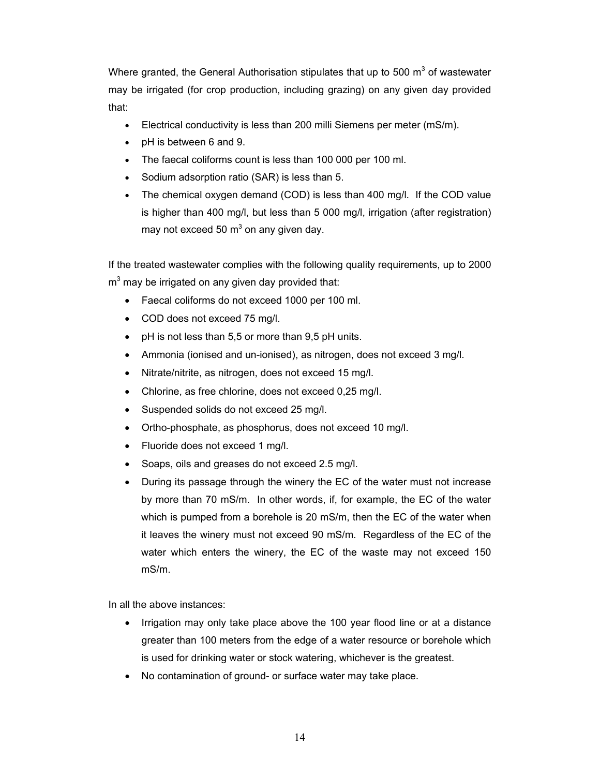Where granted, the General Authorisation stipulates that up to 500 m<sup>3</sup> of wastewater may be irrigated (for crop production, including grazing) on any given day provided that:

- Electrical conductivity is less than 200 milli Siemens per meter (mS/m).
- pH is between 6 and 9.
- The faecal coliforms count is less than 100 000 per 100 ml.
- Sodium adsorption ratio (SAR) is less than 5.
- The chemical oxygen demand (COD) is less than 400 mg/l. If the COD value is higher than 400 mg/l, but less than 5 000 mg/l, irrigation (after registration) may not exceed 50 m<sup>3</sup> on any given day.

If the treated wastewater complies with the following quality requirements, up to 2000  $m<sup>3</sup>$  may be irrigated on any given day provided that:

- Faecal coliforms do not exceed 1000 per 100 ml.
- COD does not exceed 75 mg/l.
- pH is not less than 5,5 or more than 9,5 pH units.
- Ammonia (ionised and un-ionised), as nitrogen, does not exceed 3 mg/l.
- Nitrate/nitrite, as nitrogen, does not exceed 15 mg/l.
- Chlorine, as free chlorine, does not exceed 0,25 mg/l.
- Suspended solids do not exceed 25 mg/l.
- Ortho-phosphate, as phosphorus, does not exceed 10 mg/l.
- Fluoride does not exceed 1 mg/l.
- Soaps, oils and greases do not exceed 2.5 mg/l.
- During its passage through the winery the EC of the water must not increase by more than 70 mS/m. In other words, if, for example, the EC of the water which is pumped from a borehole is 20 mS/m, then the EC of the water when it leaves the winery must not exceed 90 mS/m. Regardless of the EC of the water which enters the winery, the EC of the waste may not exceed 150 mS/m.

In all the above instances:

- Irrigation may only take place above the 100 year flood line or at a distance greater than 100 meters from the edge of a water resource or borehole which is used for drinking water or stock watering, whichever is the greatest.
- No contamination of ground- or surface water may take place.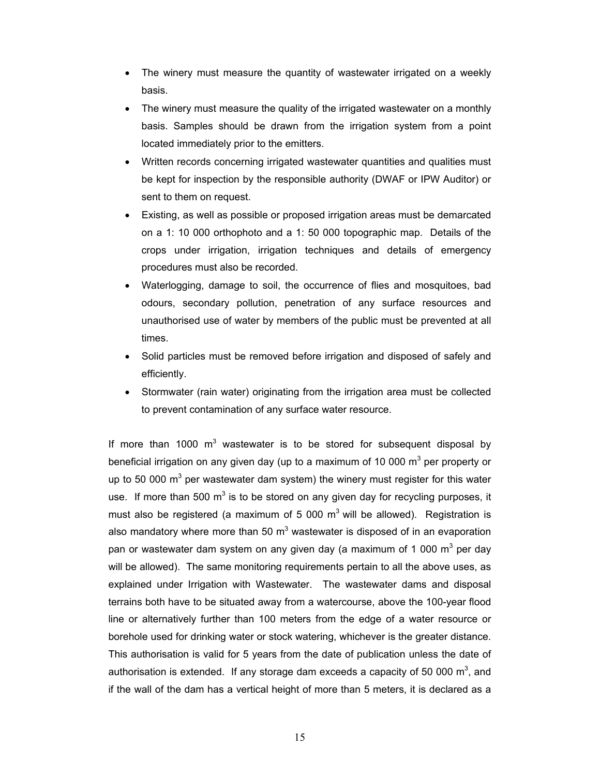- The winery must measure the quantity of wastewater irrigated on a weekly basis.
- The winery must measure the quality of the irrigated wastewater on a monthly basis. Samples should be drawn from the irrigation system from a point located immediately prior to the emitters.
- Written records concerning irrigated wastewater quantities and qualities must be kept for inspection by the responsible authority (DWAF or IPW Auditor) or sent to them on request.
- Existing, as well as possible or proposed irrigation areas must be demarcated on a 1: 10 000 orthophoto and a 1: 50 000 topographic map. Details of the crops under irrigation, irrigation techniques and details of emergency procedures must also be recorded.
- Waterlogging, damage to soil, the occurrence of flies and mosquitoes, bad odours, secondary pollution, penetration of any surface resources and unauthorised use of water by members of the public must be prevented at all times.
- Solid particles must be removed before irrigation and disposed of safely and efficiently.
- Stormwater (rain water) originating from the irrigation area must be collected to prevent contamination of any surface water resource.

If more than 1000  $m<sup>3</sup>$  wastewater is to be stored for subsequent disposal by beneficial irrigation on any given day (up to a maximum of 10 000 m<sup>3</sup> per property or up to 50 000  $\text{m}^3$  per wastewater dam system) the winery must register for this water use. If more than 500  $m^3$  is to be stored on any given day for recycling purposes, it must also be registered (a maximum of 5 000  $m<sup>3</sup>$  will be allowed). Registration is also mandatory where more than 50  $m<sup>3</sup>$  wastewater is disposed of in an evaporation pan or wastewater dam system on any given day (a maximum of 1 000 m<sup>3</sup> per day will be allowed). The same monitoring requirements pertain to all the above uses, as explained under Irrigation with Wastewater. The wastewater dams and disposal terrains both have to be situated away from a watercourse, above the 100-year flood line or alternatively further than 100 meters from the edge of a water resource or borehole used for drinking water or stock watering, whichever is the greater distance. This authorisation is valid for 5 years from the date of publication unless the date of authorisation is extended. If any storage dam exceeds a capacity of 50 000  $m^3$ , and if the wall of the dam has a vertical height of more than 5 meters, it is declared as a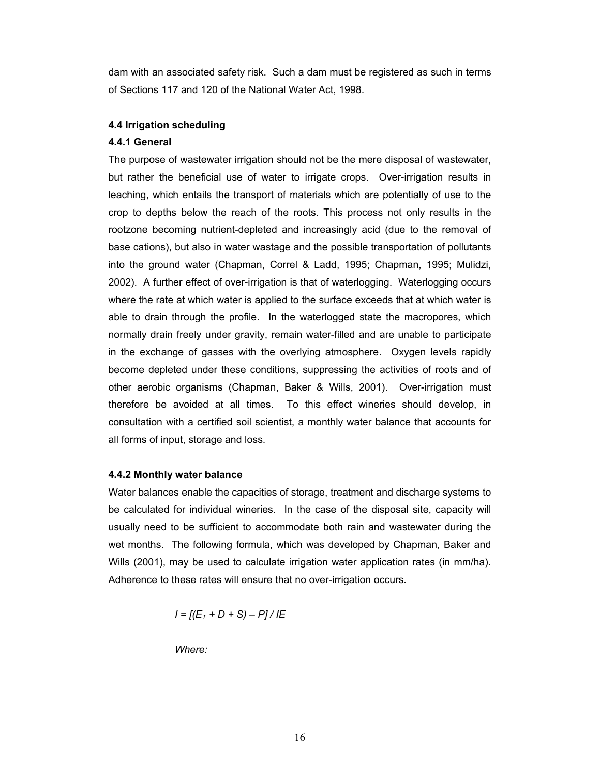dam with an associated safety risk. Such a dam must be registered as such in terms of Sections 117 and 120 of the National Water Act, 1998.

# **4.4 Irrigation scheduling**

# **4.4.1 General**

The purpose of wastewater irrigation should not be the mere disposal of wastewater, but rather the beneficial use of water to irrigate crops. Over-irrigation results in leaching, which entails the transport of materials which are potentially of use to the crop to depths below the reach of the roots. This process not only results in the rootzone becoming nutrient-depleted and increasingly acid (due to the removal of base cations), but also in water wastage and the possible transportation of pollutants into the ground water (Chapman, Correl & Ladd, 1995; Chapman, 1995; Mulidzi, 2002). A further effect of over-irrigation is that of waterlogging. Waterlogging occurs where the rate at which water is applied to the surface exceeds that at which water is able to drain through the profile. In the waterlogged state the macropores, which normally drain freely under gravity, remain water-filled and are unable to participate in the exchange of gasses with the overlying atmosphere. Oxygen levels rapidly become depleted under these conditions, suppressing the activities of roots and of other aerobic organisms (Chapman, Baker & Wills, 2001). Over-irrigation must therefore be avoided at all times. To this effect wineries should develop, in consultation with a certified soil scientist, a monthly water balance that accounts for all forms of input, storage and loss.

# **4.4.2 Monthly water balance**

Water balances enable the capacities of storage, treatment and discharge systems to be calculated for individual wineries. In the case of the disposal site, capacity will usually need to be sufficient to accommodate both rain and wastewater during the wet months. The following formula, which was developed by Chapman, Baker and Wills (2001), may be used to calculate irrigation water application rates (in mm/ha). Adherence to these rates will ensure that no over-irrigation occurs.

$$
I = [(E_T + D + S) - P]/IE
$$

*Where:*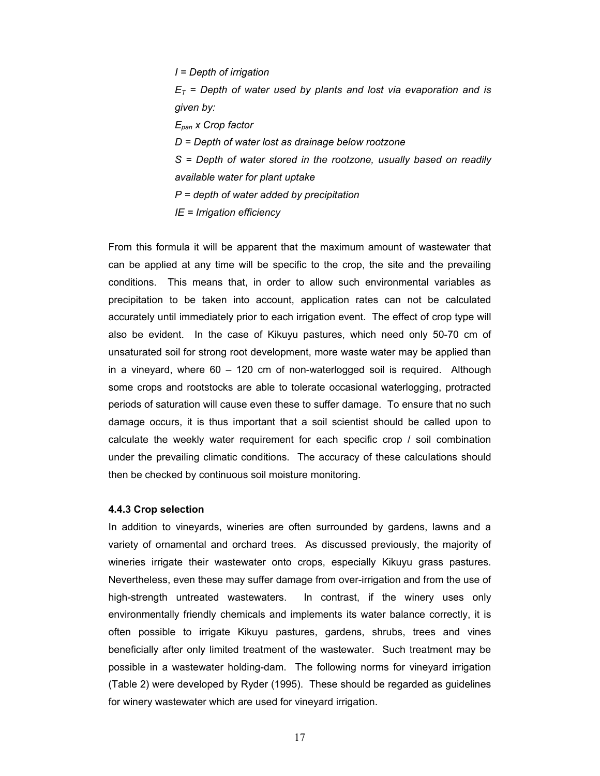*I = Depth of irrigation*   $E_T$  = Depth of water used by plants and lost via evaporation and is *given by: Epan x Crop factor D = Depth of water lost as drainage below rootzone S = Depth of water stored in the rootzone, usually based on readily available water for plant uptake P = depth of water added by precipitation IE = Irrigation efficiency* 

From this formula it will be apparent that the maximum amount of wastewater that can be applied at any time will be specific to the crop, the site and the prevailing conditions. This means that, in order to allow such environmental variables as precipitation to be taken into account, application rates can not be calculated accurately until immediately prior to each irrigation event. The effect of crop type will also be evident. In the case of Kikuyu pastures, which need only 50-70 cm of unsaturated soil for strong root development, more waste water may be applied than in a vineyard, where 60 – 120 cm of non-waterlogged soil is required. Although some crops and rootstocks are able to tolerate occasional waterlogging, protracted periods of saturation will cause even these to suffer damage. To ensure that no such damage occurs, it is thus important that a soil scientist should be called upon to calculate the weekly water requirement for each specific crop / soil combination under the prevailing climatic conditions. The accuracy of these calculations should then be checked by continuous soil moisture monitoring.

#### **4.4.3 Crop selection**

In addition to vineyards, wineries are often surrounded by gardens, lawns and a variety of ornamental and orchard trees. As discussed previously, the majority of wineries irrigate their wastewater onto crops, especially Kikuyu grass pastures. Nevertheless, even these may suffer damage from over-irrigation and from the use of high-strength untreated wastewaters. In contrast, if the winery uses only environmentally friendly chemicals and implements its water balance correctly, it is often possible to irrigate Kikuyu pastures, gardens, shrubs, trees and vines beneficially after only limited treatment of the wastewater. Such treatment may be possible in a wastewater holding-dam. The following norms for vineyard irrigation (Table 2) were developed by Ryder (1995). These should be regarded as guidelines for winery wastewater which are used for vineyard irrigation.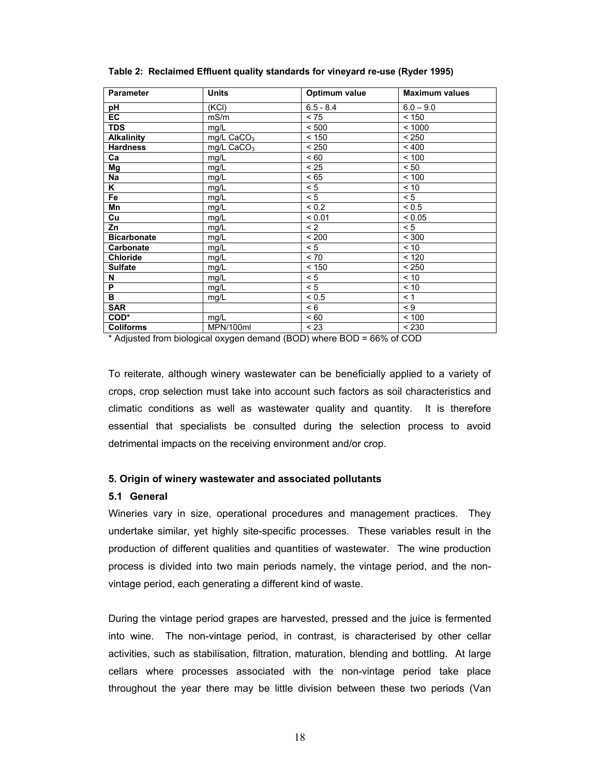| <b>Parameter</b>   | <b>Units</b>           | Optimum value | <b>Maximum values</b> |
|--------------------|------------------------|---------------|-----------------------|
| рH                 | (KCI)                  | $6.5 - 8.4$   | $6.0 - 9.0$           |
| <b>EC</b>          | mS/m                   | < 75          | < 150                 |
| <b>TDS</b>         | mg/L                   | < 500         | < 1000                |
| <b>Alkalinity</b>  | mg/L CaCO <sub>3</sub> | < 150         | < 250                 |
| <b>Hardness</b>    | mg/L $CaCO3$           | < 250         | < 400                 |
| Ca                 | mg/L                   | ~< 60         | < 100                 |
| Mg                 | mg/L                   | < 25          | < 50                  |
| Na                 | mg/L                   | < 65          | < 100                 |
| K                  | mg/L                   | < 5           | < 10                  |
| Fe                 | mg/L                   | < 5           | < 5                   |
| Mn                 | mg/L                   | < 0.2         | < 0.5                 |
| Cu                 | mg/L                   | < 0.01        | < 0.05                |
| Zn                 | mg/L                   | < 2           | < 5                   |
| <b>Bicarbonate</b> | mg/L                   | < 200         | < 300                 |
| Carbonate          | mg/L                   | < 5           | < 10                  |
| <b>Chloride</b>    | mg/L                   | $< 70$        | < 120                 |
| <b>Sulfate</b>     | mg/L                   | < 150         | < 250                 |
| N                  | mg/L                   | < 5           | < 10                  |
| P                  | mg/L                   | < 5           | ~10                   |
| в                  | mg/L                   | ${}_{0.5}$    | < 1                   |
| <b>SAR</b>         |                        | < 6           | $\leq 9$              |
| COD*               | mg/L                   | ~< 60         | < 100                 |
| <b>Coliforms</b>   | MPN/100ml              | < 23          | < 230                 |

**Table 2: Reclaimed Effluent quality standards for vineyard re-use (Ryder 1995)** 

\* Adjusted from biological oxygen demand (BOD) where BOD = 66% of COD

To reiterate, although winery wastewater can be beneficially applied to a variety of crops, crop selection must take into account such factors as soil characteristics and climatic conditions as well as wastewater quality and quantity. It is therefore essential that specialists be consulted during the selection process to avoid detrimental impacts on the receiving environment and/or crop.

### **5. Origin of winery wastewater and associated pollutants**

#### **5.1 General**

Wineries vary in size, operational procedures and management practices. They undertake similar, yet highly site-specific processes. These variables result in the production of different qualities and quantities of wastewater. The wine production process is divided into two main periods namely, the vintage period, and the nonvintage period, each generating a different kind of waste.

During the vintage period grapes are harvested, pressed and the juice is fermented into wine. The non-vintage period, in contrast, is characterised by other cellar activities, such as stabilisation, filtration, maturation, blending and bottling. At large cellars where processes associated with the non-vintage period take place throughout the year there may be little division between these two periods (Van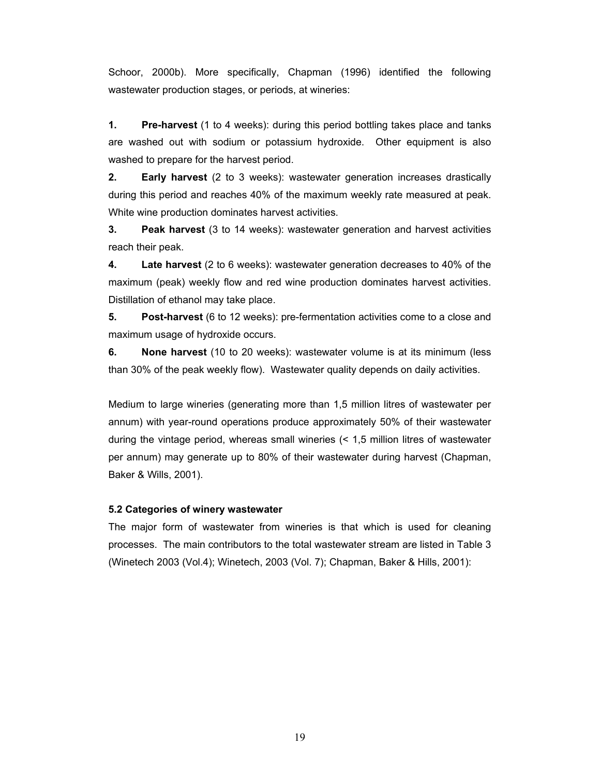Schoor, 2000b). More specifically, Chapman (1996) identified the following wastewater production stages, or periods, at wineries:

**1. Pre-harvest** (1 to 4 weeks): during this period bottling takes place and tanks are washed out with sodium or potassium hydroxide. Other equipment is also washed to prepare for the harvest period.

**2. Early harvest** (2 to 3 weeks): wastewater generation increases drastically during this period and reaches 40% of the maximum weekly rate measured at peak. White wine production dominates harvest activities.

**3. Peak harvest** (3 to 14 weeks): wastewater generation and harvest activities reach their peak.

**4. Late harvest** (2 to 6 weeks): wastewater generation decreases to 40% of the maximum (peak) weekly flow and red wine production dominates harvest activities. Distillation of ethanol may take place.

**5. Post-harvest** (6 to 12 weeks): pre-fermentation activities come to a close and maximum usage of hydroxide occurs.

**6. None harvest** (10 to 20 weeks): wastewater volume is at its minimum (less than 30% of the peak weekly flow). Wastewater quality depends on daily activities.

Medium to large wineries (generating more than 1,5 million litres of wastewater per annum) with year-round operations produce approximately 50% of their wastewater during the vintage period, whereas small wineries (< 1,5 million litres of wastewater per annum) may generate up to 80% of their wastewater during harvest (Chapman, Baker & Wills, 2001).

# **5.2 Categories of winery wastewater**

The major form of wastewater from wineries is that which is used for cleaning processes. The main contributors to the total wastewater stream are listed in Table 3 (Winetech 2003 (Vol.4); Winetech, 2003 (Vol. 7); Chapman, Baker & Hills, 2001):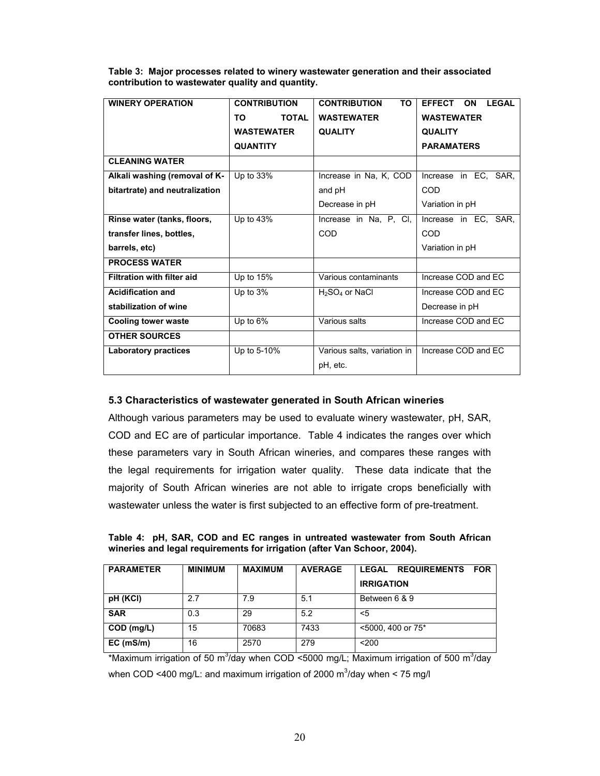| <b>WINERY OPERATION</b>        | <b>CONTRIBUTION</b> | <b>CONTRIBUTION</b><br><b>TO</b> | <b>LEGAL</b><br><b>EFFECT</b><br><b>ON</b> |
|--------------------------------|---------------------|----------------------------------|--------------------------------------------|
|                                | TO.<br><b>TOTAL</b> | <b>WASTEWATER</b>                | <b>WASTEWATER</b>                          |
|                                | <b>WASTEWATER</b>   | <b>QUALITY</b>                   | <b>QUALITY</b>                             |
|                                | <b>QUANTITY</b>     |                                  | <b>PARAMATERS</b>                          |
| <b>CLEANING WATER</b>          |                     |                                  |                                            |
| Alkali washing (removal of K-  | Up to 33%           | Increase in Na, K, COD           | Increase in EC, SAR,                       |
| bitartrate) and neutralization |                     | and pH                           | COD                                        |
|                                |                     | Decrease in pH                   | Variation in pH                            |
| Rinse water (tanks, floors,    | Up to 43%           | Increase in Na, P, Cl,           | Increase in EC, SAR,                       |
| transfer lines, bottles,       |                     | COD                              | COD                                        |
| barrels, etc)                  |                     |                                  | Variation in pH                            |
| <b>PROCESS WATER</b>           |                     |                                  |                                            |
| Filtration with filter aid     | Up to 15%           | Various contaminants             | Increase COD and EC                        |
| <b>Acidification and</b>       | Up to 3%            | $H_2SO_4$ or NaCl                | Increase COD and EC                        |
| stabilization of wine          |                     |                                  | Decrease in pH                             |
| <b>Cooling tower waste</b>     | Up to 6%            | Various salts                    | Increase COD and EC                        |
| <b>OTHER SOURCES</b>           |                     |                                  |                                            |
| <b>Laboratory practices</b>    | Up to 5-10%         | Various salts, variation in      | Increase COD and EC                        |
|                                |                     | pH, etc.                         |                                            |

**Table 3: Major processes related to winery wastewater generation and their associated contribution to wastewater quality and quantity.** 

# **5.3 Characteristics of wastewater generated in South African wineries**

Although various parameters may be used to evaluate winery wastewater, pH, SAR, COD and EC are of particular importance. Table 4 indicates the ranges over which these parameters vary in South African wineries, and compares these ranges with the legal requirements for irrigation water quality. These data indicate that the majority of South African wineries are not able to irrigate crops beneficially with wastewater unless the water is first subjected to an effective form of pre-treatment.

**Table 4: pH, SAR, COD and EC ranges in untreated wastewater from South African wineries and legal requirements for irrigation (after Van Schoor, 2004).** 

| <b>PARAMETER</b> | <b>MINIMUM</b> | <b>MAXIMUM</b> | <b>AVERAGE</b> | <b>REQUIREMENTS</b><br><b>LEGAL</b><br><b>FOR</b><br><b>IRRIGATION</b> |
|------------------|----------------|----------------|----------------|------------------------------------------------------------------------|
| pH (KCI)         | 2.7            | 7.9            | 5.1            | Between 6 & 9                                                          |
| <b>SAR</b>       | 0.3            | 29             | 5.2            | <5                                                                     |
| COD (mg/L)       | 15             | 70683          | 7433           | <5000, 400 or 75*                                                      |
| EC (mS/m)        | 16             | 2570           | 279            | $200$                                                                  |

\*Maximum irrigation of 50 m<sup>3</sup>/day when COD <5000 mg/L; Maximum irrigation of 500 m<sup>3</sup>/day when COD <400 mg/L: and maximum irrigation of 2000 m<sup>3</sup>/day when < 75 mg/l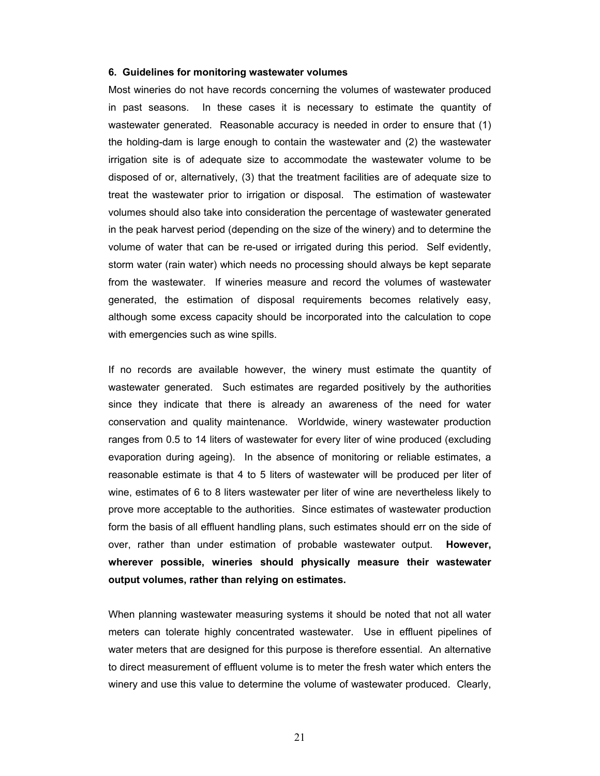#### **6. Guidelines for monitoring wastewater volumes**

Most wineries do not have records concerning the volumes of wastewater produced in past seasons. In these cases it is necessary to estimate the quantity of wastewater generated. Reasonable accuracy is needed in order to ensure that (1) the holding-dam is large enough to contain the wastewater and (2) the wastewater irrigation site is of adequate size to accommodate the wastewater volume to be disposed of or, alternatively, (3) that the treatment facilities are of adequate size to treat the wastewater prior to irrigation or disposal. The estimation of wastewater volumes should also take into consideration the percentage of wastewater generated in the peak harvest period (depending on the size of the winery) and to determine the volume of water that can be re-used or irrigated during this period. Self evidently, storm water (rain water) which needs no processing should always be kept separate from the wastewater. If wineries measure and record the volumes of wastewater generated, the estimation of disposal requirements becomes relatively easy, although some excess capacity should be incorporated into the calculation to cope with emergencies such as wine spills.

If no records are available however, the winery must estimate the quantity of wastewater generated. Such estimates are regarded positively by the authorities since they indicate that there is already an awareness of the need for water conservation and quality maintenance. Worldwide, winery wastewater production ranges from 0.5 to 14 liters of wastewater for every liter of wine produced (excluding evaporation during ageing). In the absence of monitoring or reliable estimates, a reasonable estimate is that 4 to 5 liters of wastewater will be produced per liter of wine, estimates of 6 to 8 liters wastewater per liter of wine are nevertheless likely to prove more acceptable to the authorities. Since estimates of wastewater production form the basis of all effluent handling plans, such estimates should err on the side of over, rather than under estimation of probable wastewater output. **However, wherever possible, wineries should physically measure their wastewater output volumes, rather than relying on estimates.** 

When planning wastewater measuring systems it should be noted that not all water meters can tolerate highly concentrated wastewater. Use in effluent pipelines of water meters that are designed for this purpose is therefore essential. An alternative to direct measurement of effluent volume is to meter the fresh water which enters the winery and use this value to determine the volume of wastewater produced. Clearly,

21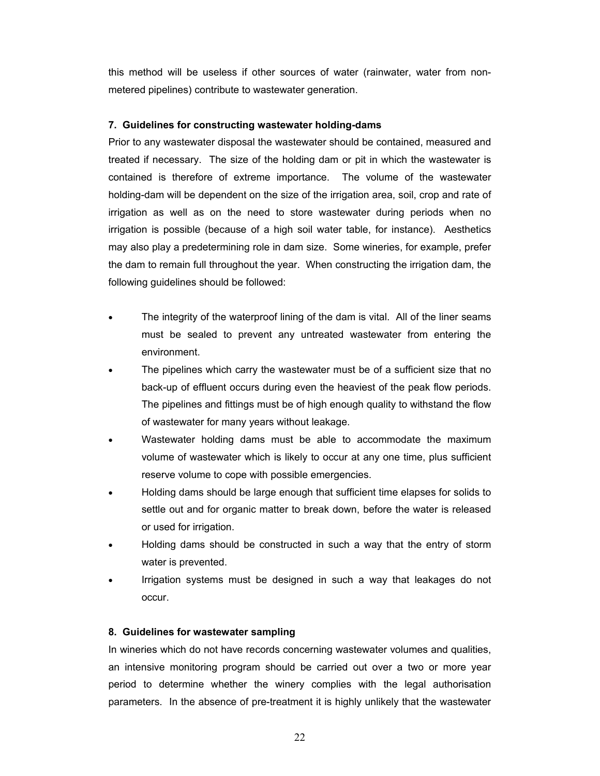this method will be useless if other sources of water (rainwater, water from nonmetered pipelines) contribute to wastewater generation.

# **7. Guidelines for constructing wastewater holding-dams**

Prior to any wastewater disposal the wastewater should be contained, measured and treated if necessary. The size of the holding dam or pit in which the wastewater is contained is therefore of extreme importance. The volume of the wastewater holding-dam will be dependent on the size of the irrigation area, soil, crop and rate of irrigation as well as on the need to store wastewater during periods when no irrigation is possible (because of a high soil water table, for instance). Aesthetics may also play a predetermining role in dam size. Some wineries, for example, prefer the dam to remain full throughout the year. When constructing the irrigation dam, the following guidelines should be followed:

- The integrity of the waterproof lining of the dam is vital. All of the liner seams must be sealed to prevent any untreated wastewater from entering the environment.
- The pipelines which carry the wastewater must be of a sufficient size that no back-up of effluent occurs during even the heaviest of the peak flow periods. The pipelines and fittings must be of high enough quality to withstand the flow of wastewater for many years without leakage.
- Wastewater holding dams must be able to accommodate the maximum volume of wastewater which is likely to occur at any one time, plus sufficient reserve volume to cope with possible emergencies.
- Holding dams should be large enough that sufficient time elapses for solids to settle out and for organic matter to break down, before the water is released or used for irrigation.
- Holding dams should be constructed in such a way that the entry of storm water is prevented.
- Irrigation systems must be designed in such a way that leakages do not occur.

# **8. Guidelines for wastewater sampling**

In wineries which do not have records concerning wastewater volumes and qualities, an intensive monitoring program should be carried out over a two or more year period to determine whether the winery complies with the legal authorisation parameters. In the absence of pre-treatment it is highly unlikely that the wastewater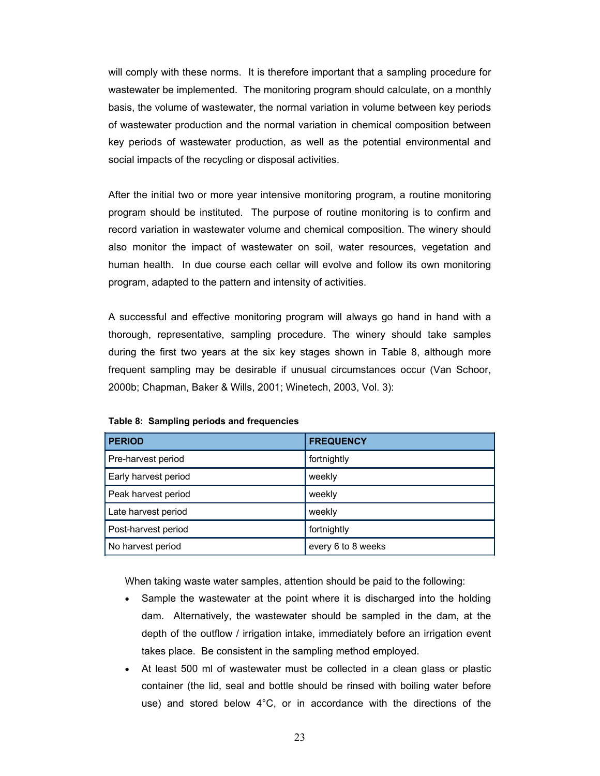will comply with these norms. It is therefore important that a sampling procedure for wastewater be implemented. The monitoring program should calculate, on a monthly basis, the volume of wastewater, the normal variation in volume between key periods of wastewater production and the normal variation in chemical composition between key periods of wastewater production, as well as the potential environmental and social impacts of the recycling or disposal activities.

After the initial two or more year intensive monitoring program, a routine monitoring program should be instituted. The purpose of routine monitoring is to confirm and record variation in wastewater volume and chemical composition. The winery should also monitor the impact of wastewater on soil, water resources, vegetation and human health. In due course each cellar will evolve and follow its own monitoring program, adapted to the pattern and intensity of activities.

A successful and effective monitoring program will always go hand in hand with a thorough, representative, sampling procedure. The winery should take samples during the first two years at the six key stages shown in Table 8, although more frequent sampling may be desirable if unusual circumstances occur (Van Schoor, 2000b; Chapman, Baker & Wills, 2001; Winetech, 2003, Vol. 3):

| <b>PERIOD</b>        | <b>FREQUENCY</b>   |
|----------------------|--------------------|
| Pre-harvest period   | fortnightly        |
| Early harvest period | weekly             |
| Peak harvest period  | weekly             |
| Late harvest period  | weekly             |
| Post-harvest period  | fortnightly        |
| No harvest period    | every 6 to 8 weeks |

**Table 8: Sampling periods and frequencies**

When taking waste water samples, attention should be paid to the following:

- Sample the wastewater at the point where it is discharged into the holding dam. Alternatively, the wastewater should be sampled in the dam, at the depth of the outflow / irrigation intake, immediately before an irrigation event takes place. Be consistent in the sampling method employed.
- At least 500 ml of wastewater must be collected in a clean glass or plastic container (the lid, seal and bottle should be rinsed with boiling water before use) and stored below 4°C, or in accordance with the directions of the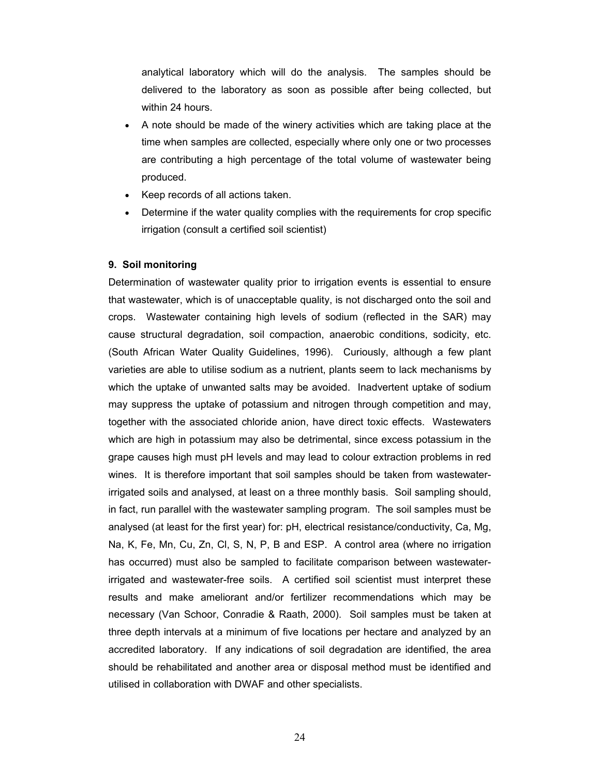analytical laboratory which will do the analysis. The samples should be delivered to the laboratory as soon as possible after being collected, but within 24 hours.

- A note should be made of the winery activities which are taking place at the time when samples are collected, especially where only one or two processes are contributing a high percentage of the total volume of wastewater being produced.
- Keep records of all actions taken.
- Determine if the water quality complies with the requirements for crop specific irrigation (consult a certified soil scientist)

# **9. Soil monitoring**

Determination of wastewater quality prior to irrigation events is essential to ensure that wastewater, which is of unacceptable quality, is not discharged onto the soil and crops. Wastewater containing high levels of sodium (reflected in the SAR) may cause structural degradation, soil compaction, anaerobic conditions, sodicity, etc. (South African Water Quality Guidelines, 1996). Curiously, although a few plant varieties are able to utilise sodium as a nutrient, plants seem to lack mechanisms by which the uptake of unwanted salts may be avoided. Inadvertent uptake of sodium may suppress the uptake of potassium and nitrogen through competition and may, together with the associated chloride anion, have direct toxic effects. Wastewaters which are high in potassium may also be detrimental, since excess potassium in the grape causes high must pH levels and may lead to colour extraction problems in red wines. It is therefore important that soil samples should be taken from wastewaterirrigated soils and analysed, at least on a three monthly basis. Soil sampling should, in fact, run parallel with the wastewater sampling program. The soil samples must be analysed (at least for the first year) for: pH, electrical resistance/conductivity, Ca, Mg, Na, K, Fe, Mn, Cu, Zn, Cl, S, N, P, B and ESP. A control area (where no irrigation has occurred) must also be sampled to facilitate comparison between wastewaterirrigated and wastewater-free soils. A certified soil scientist must interpret these results and make ameliorant and/or fertilizer recommendations which may be necessary (Van Schoor, Conradie & Raath, 2000). Soil samples must be taken at three depth intervals at a minimum of five locations per hectare and analyzed by an accredited laboratory. If any indications of soil degradation are identified, the area should be rehabilitated and another area or disposal method must be identified and utilised in collaboration with DWAF and other specialists.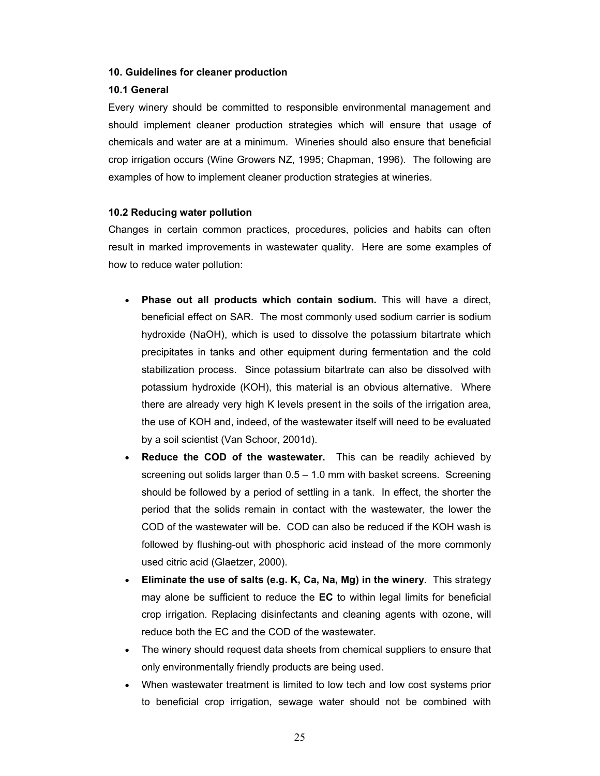# **10. Guidelines for cleaner production**

# **10.1 General**

Every winery should be committed to responsible environmental management and should implement cleaner production strategies which will ensure that usage of chemicals and water are at a minimum. Wineries should also ensure that beneficial crop irrigation occurs (Wine Growers NZ, 1995; Chapman, 1996). The following are examples of how to implement cleaner production strategies at wineries.

# **10.2 Reducing water pollution**

Changes in certain common practices, procedures, policies and habits can often result in marked improvements in wastewater quality. Here are some examples of how to reduce water pollution:

- **Phase out all products which contain sodium.** This will have a direct, beneficial effect on SAR. The most commonly used sodium carrier is sodium hydroxide (NaOH), which is used to dissolve the potassium bitartrate which precipitates in tanks and other equipment during fermentation and the cold stabilization process. Since potassium bitartrate can also be dissolved with potassium hydroxide (KOH), this material is an obvious alternative. Where there are already very high K levels present in the soils of the irrigation area, the use of KOH and, indeed, of the wastewater itself will need to be evaluated by a soil scientist (Van Schoor, 2001d).
- **Reduce the COD of the wastewater.** This can be readily achieved by screening out solids larger than 0.5 – 1.0 mm with basket screens. Screening should be followed by a period of settling in a tank. In effect, the shorter the period that the solids remain in contact with the wastewater, the lower the COD of the wastewater will be. COD can also be reduced if the KOH wash is followed by flushing-out with phosphoric acid instead of the more commonly used citric acid (Glaetzer, 2000).
- **Eliminate the use of salts (e.g. K, Ca, Na, Mg) in the winery**. This strategy may alone be sufficient to reduce the **EC** to within legal limits for beneficial crop irrigation. Replacing disinfectants and cleaning agents with ozone, will reduce both the EC and the COD of the wastewater.
- The winery should request data sheets from chemical suppliers to ensure that only environmentally friendly products are being used.
- When wastewater treatment is limited to low tech and low cost systems prior to beneficial crop irrigation, sewage water should not be combined with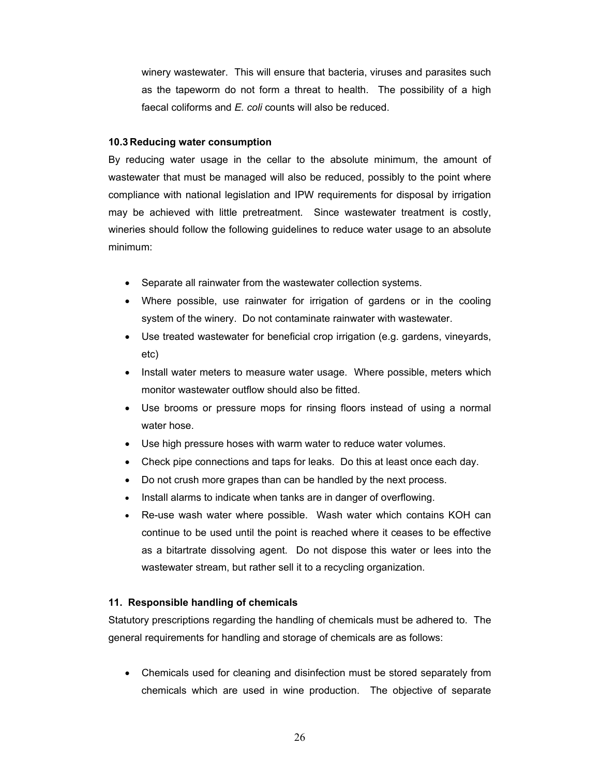winery wastewater. This will ensure that bacteria, viruses and parasites such as the tapeworm do not form a threat to health. The possibility of a high faecal coliforms and *E. coli* counts will also be reduced.

# **10.3 Reducing water consumption**

By reducing water usage in the cellar to the absolute minimum, the amount of wastewater that must be managed will also be reduced, possibly to the point where compliance with national legislation and IPW requirements for disposal by irrigation may be achieved with little pretreatment. Since wastewater treatment is costly, wineries should follow the following guidelines to reduce water usage to an absolute minimum:

- Separate all rainwater from the wastewater collection systems.
- Where possible, use rainwater for irrigation of gardens or in the cooling system of the winery. Do not contaminate rainwater with wastewater.
- Use treated wastewater for beneficial crop irrigation (e.g. gardens, vineyards, etc)
- Install water meters to measure water usage. Where possible, meters which monitor wastewater outflow should also be fitted.
- Use brooms or pressure mops for rinsing floors instead of using a normal water hose.
- Use high pressure hoses with warm water to reduce water volumes.
- Check pipe connections and taps for leaks. Do this at least once each day.
- Do not crush more grapes than can be handled by the next process.
- Install alarms to indicate when tanks are in danger of overflowing.
- Re-use wash water where possible. Wash water which contains KOH can continue to be used until the point is reached where it ceases to be effective as a bitartrate dissolving agent. Do not dispose this water or lees into the wastewater stream, but rather sell it to a recycling organization.

# **11. Responsible handling of chemicals**

Statutory prescriptions regarding the handling of chemicals must be adhered to. The general requirements for handling and storage of chemicals are as follows:

• Chemicals used for cleaning and disinfection must be stored separately from chemicals which are used in wine production. The objective of separate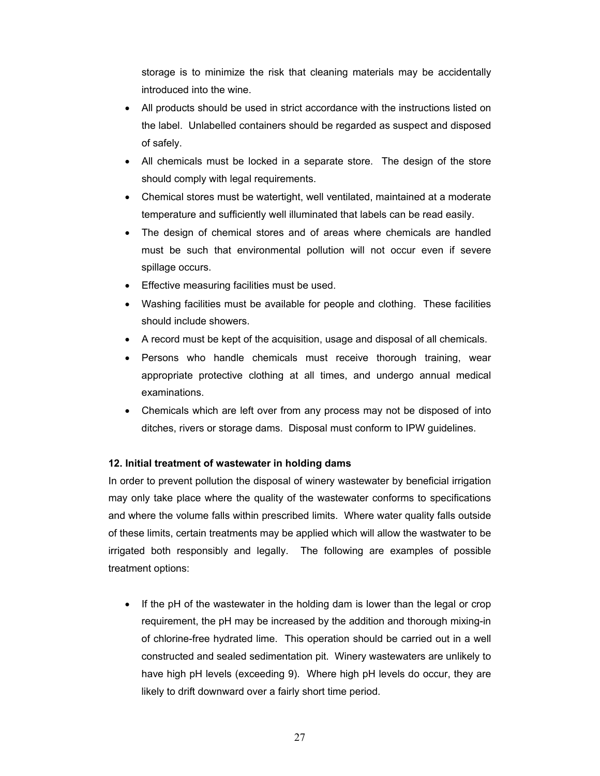storage is to minimize the risk that cleaning materials may be accidentally introduced into the wine.

- All products should be used in strict accordance with the instructions listed on the label. Unlabelled containers should be regarded as suspect and disposed of safely.
- All chemicals must be locked in a separate store. The design of the store should comply with legal requirements.
- Chemical stores must be watertight, well ventilated, maintained at a moderate temperature and sufficiently well illuminated that labels can be read easily.
- The design of chemical stores and of areas where chemicals are handled must be such that environmental pollution will not occur even if severe spillage occurs.
- Effective measuring facilities must be used.
- Washing facilities must be available for people and clothing. These facilities should include showers.
- A record must be kept of the acquisition, usage and disposal of all chemicals.
- Persons who handle chemicals must receive thorough training, wear appropriate protective clothing at all times, and undergo annual medical examinations.
- Chemicals which are left over from any process may not be disposed of into ditches, rivers or storage dams. Disposal must conform to IPW guidelines.

# **12. Initial treatment of wastewater in holding dams**

In order to prevent pollution the disposal of winery wastewater by beneficial irrigation may only take place where the quality of the wastewater conforms to specifications and where the volume falls within prescribed limits. Where water quality falls outside of these limits, certain treatments may be applied which will allow the wastwater to be irrigated both responsibly and legally. The following are examples of possible treatment options:

• If the pH of the wastewater in the holding dam is lower than the legal or crop requirement, the pH may be increased by the addition and thorough mixing-in of chlorine-free hydrated lime. This operation should be carried out in a well constructed and sealed sedimentation pit. Winery wastewaters are unlikely to have high pH levels (exceeding 9). Where high pH levels do occur, they are likely to drift downward over a fairly short time period.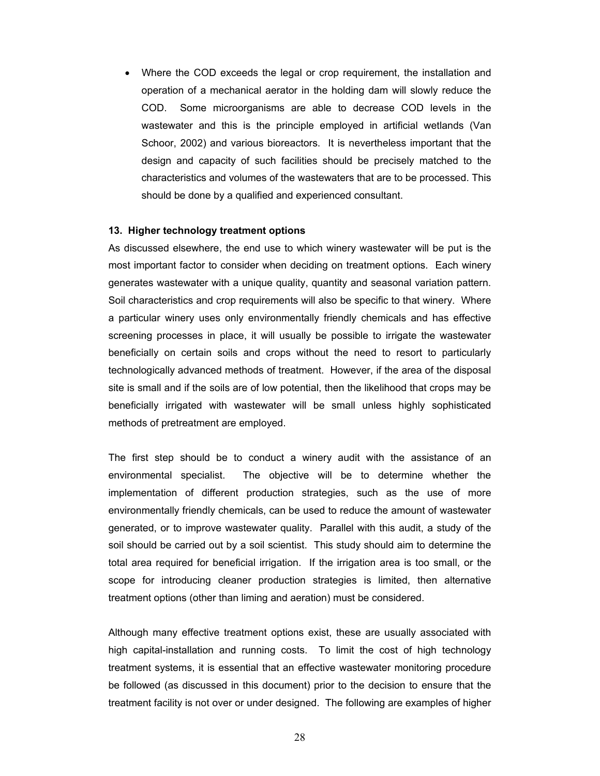• Where the COD exceeds the legal or crop requirement, the installation and operation of a mechanical aerator in the holding dam will slowly reduce the COD. Some microorganisms are able to decrease COD levels in the wastewater and this is the principle employed in artificial wetlands (Van Schoor, 2002) and various bioreactors. It is nevertheless important that the design and capacity of such facilities should be precisely matched to the characteristics and volumes of the wastewaters that are to be processed. This should be done by a qualified and experienced consultant.

# **13. Higher technology treatment options**

As discussed elsewhere, the end use to which winery wastewater will be put is the most important factor to consider when deciding on treatment options. Each winery generates wastewater with a unique quality, quantity and seasonal variation pattern. Soil characteristics and crop requirements will also be specific to that winery. Where a particular winery uses only environmentally friendly chemicals and has effective screening processes in place, it will usually be possible to irrigate the wastewater beneficially on certain soils and crops without the need to resort to particularly technologically advanced methods of treatment. However, if the area of the disposal site is small and if the soils are of low potential, then the likelihood that crops may be beneficially irrigated with wastewater will be small unless highly sophisticated methods of pretreatment are employed.

The first step should be to conduct a winery audit with the assistance of an environmental specialist. The objective will be to determine whether the implementation of different production strategies, such as the use of more environmentally friendly chemicals, can be used to reduce the amount of wastewater generated, or to improve wastewater quality. Parallel with this audit, a study of the soil should be carried out by a soil scientist. This study should aim to determine the total area required for beneficial irrigation. If the irrigation area is too small, or the scope for introducing cleaner production strategies is limited, then alternative treatment options (other than liming and aeration) must be considered.

Although many effective treatment options exist, these are usually associated with high capital-installation and running costs. To limit the cost of high technology treatment systems, it is essential that an effective wastewater monitoring procedure be followed (as discussed in this document) prior to the decision to ensure that the treatment facility is not over or under designed. The following are examples of higher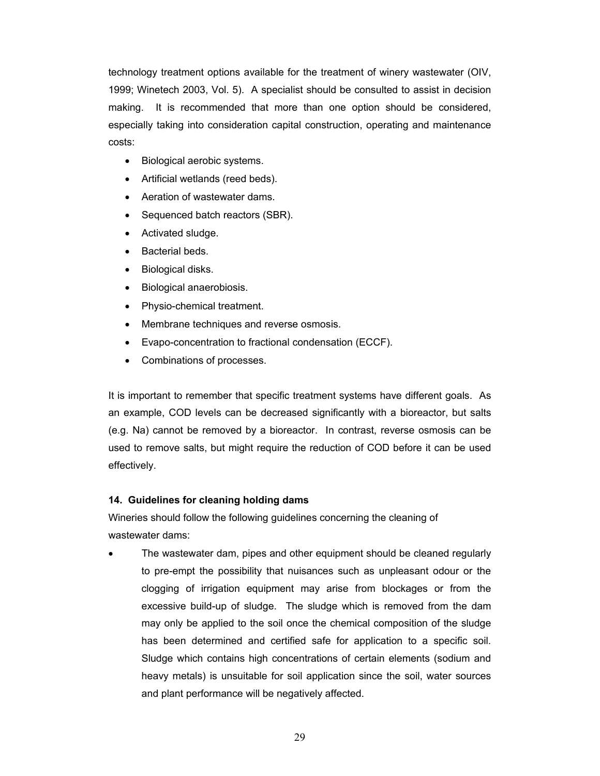technology treatment options available for the treatment of winery wastewater (OIV, 1999; Winetech 2003, Vol. 5). A specialist should be consulted to assist in decision making. It is recommended that more than one option should be considered, especially taking into consideration capital construction, operating and maintenance costs:

- Biological aerobic systems.
- Artificial wetlands (reed beds).
- Aeration of wastewater dams.
- Sequenced batch reactors (SBR).
- Activated sludge.
- Bacterial beds.
- Biological disks.
- Biological anaerobiosis.
- Physio-chemical treatment.
- Membrane techniques and reverse osmosis.
- Evapo-concentration to fractional condensation (ECCF).
- Combinations of processes.

It is important to remember that specific treatment systems have different goals. As an example, COD levels can be decreased significantly with a bioreactor, but salts (e.g. Na) cannot be removed by a bioreactor. In contrast, reverse osmosis can be used to remove salts, but might require the reduction of COD before it can be used effectively.

# **14. Guidelines for cleaning holding dams**

Wineries should follow the following guidelines concerning the cleaning of wastewater dams:

• The wastewater dam, pipes and other equipment should be cleaned regularly to pre-empt the possibility that nuisances such as unpleasant odour or the clogging of irrigation equipment may arise from blockages or from the excessive build-up of sludge. The sludge which is removed from the dam may only be applied to the soil once the chemical composition of the sludge has been determined and certified safe for application to a specific soil. Sludge which contains high concentrations of certain elements (sodium and heavy metals) is unsuitable for soil application since the soil, water sources and plant performance will be negatively affected.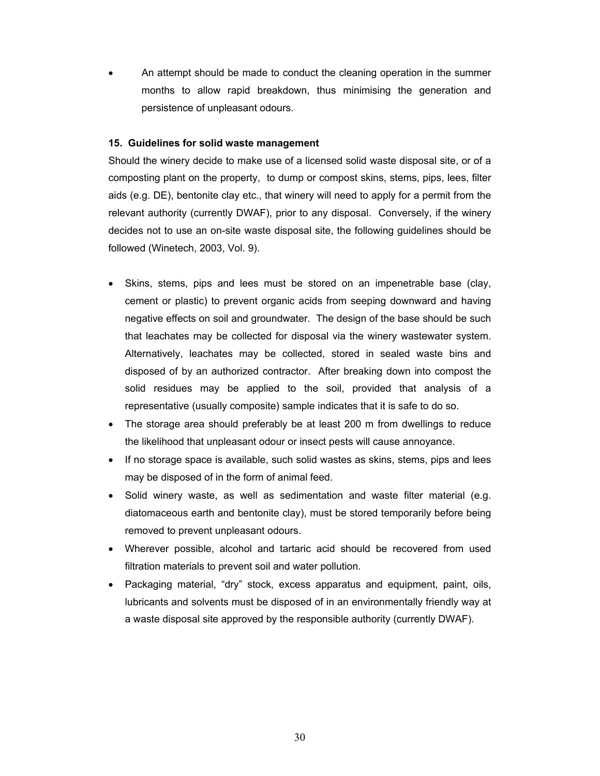• An attempt should be made to conduct the cleaning operation in the summer months to allow rapid breakdown, thus minimising the generation and persistence of unpleasant odours.

# **15. Guidelines for solid waste management**

Should the winery decide to make use of a licensed solid waste disposal site, or of a composting plant on the property, to dump or compost skins, stems, pips, lees, filter aids (e.g. DE), bentonite clay etc., that winery will need to apply for a permit from the relevant authority (currently DWAF), prior to any disposal. Conversely, if the winery decides not to use an on-site waste disposal site, the following guidelines should be followed (Winetech, 2003, Vol. 9).

- Skins, stems, pips and lees must be stored on an impenetrable base (clay, cement or plastic) to prevent organic acids from seeping downward and having negative effects on soil and groundwater. The design of the base should be such that leachates may be collected for disposal via the winery wastewater system. Alternatively, leachates may be collected, stored in sealed waste bins and disposed of by an authorized contractor. After breaking down into compost the solid residues may be applied to the soil, provided that analysis of a representative (usually composite) sample indicates that it is safe to do so.
- The storage area should preferably be at least 200 m from dwellings to reduce the likelihood that unpleasant odour or insect pests will cause annoyance.
- If no storage space is available, such solid wastes as skins, stems, pips and lees may be disposed of in the form of animal feed.
- Solid winery waste, as well as sedimentation and waste filter material (e.g. diatomaceous earth and bentonite clay), must be stored temporarily before being removed to prevent unpleasant odours.
- Wherever possible, alcohol and tartaric acid should be recovered from used filtration materials to prevent soil and water pollution.
- Packaging material, "dry" stock, excess apparatus and equipment, paint, oils, lubricants and solvents must be disposed of in an environmentally friendly way at a waste disposal site approved by the responsible authority (currently DWAF).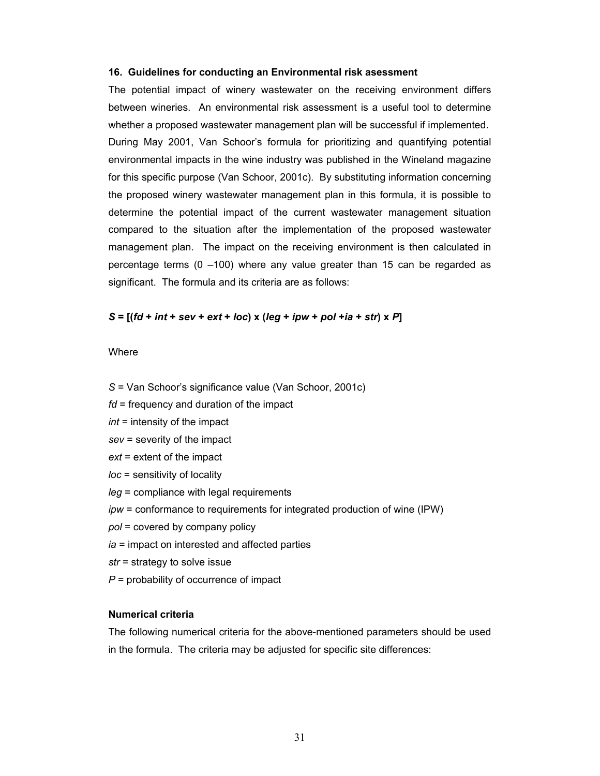#### **16. Guidelines for conducting an Environmental risk asessment**

The potential impact of winery wastewater on the receiving environment differs between wineries. An environmental risk assessment is a useful tool to determine whether a proposed wastewater management plan will be successful if implemented. During May 2001, Van Schoor's formula for prioritizing and quantifying potential environmental impacts in the wine industry was published in the Wineland magazine for this specific purpose (Van Schoor, 2001c). By substituting information concerning the proposed winery wastewater management plan in this formula, it is possible to determine the potential impact of the current wastewater management situation compared to the situation after the implementation of the proposed wastewater management plan. The impact on the receiving environment is then calculated in percentage terms (0 –100) where any value greater than 15 can be regarded as significant. The formula and its criteria are as follows:

# $S = [(fd + int + sev + ext + loc) x (leg + ipw + pol + ia + str) x P]$

#### **Where**

- *S* = Van Schoor's significance value (Van Schoor, 2001c)
- *fd* = frequency and duration of the impact
- *int* = intensity of the impact
- *sev* = severity of the impact
- *ext* = extent of the impact
- *loc* = sensitivity of locality
- *leg* = compliance with legal requirements
- *ipw* = conformance to requirements for integrated production of wine (IPW)
- *pol* = covered by company policy
- *ia* = impact on interested and affected parties
- *str* = strategy to solve issue
- *P* = probability of occurrence of impact

### **Numerical criteria**

The following numerical criteria for the above-mentioned parameters should be used in the formula. The criteria may be adjusted for specific site differences: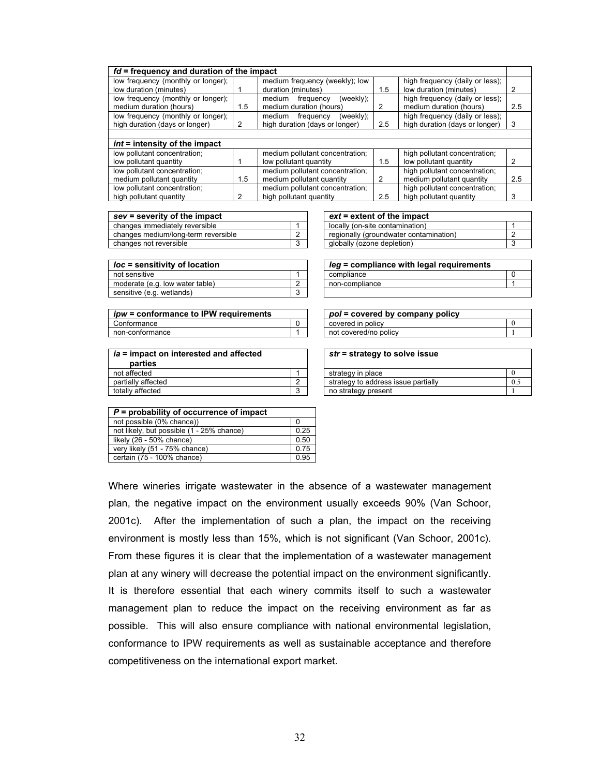| $fd$ = frequency and duration of the impact                          |     |                                                                    |     |                                                                   |     |  |  |  |
|----------------------------------------------------------------------|-----|--------------------------------------------------------------------|-----|-------------------------------------------------------------------|-----|--|--|--|
| low frequency (monthly or longer);<br>low duration (minutes)         |     | medium frequency (weekly); low<br>duration (minutes)               | 1.5 | high frequency (daily or less);<br>low duration (minutes)         | 2   |  |  |  |
| low frequency (monthly or longer);<br>medium duration (hours)        | 1.5 | frequency<br>(weekly);<br>medium<br>medium duration (hours)        | 2   | high frequency (daily or less);<br>medium duration (hours)        | 2.5 |  |  |  |
| low frequency (monthly or longer);<br>high duration (days or longer) | 2   | (weekly);<br>frequency<br>medium<br>high duration (days or longer) | 2.5 | high frequency (daily or less);<br>high duration (days or longer) | 3   |  |  |  |
|                                                                      |     |                                                                    |     |                                                                   |     |  |  |  |
| int = intensity of the impact                                        |     |                                                                    |     |                                                                   |     |  |  |  |
| low pollutant concentration;                                         |     | medium pollutant concentration;                                    |     | high pollutant concentration;                                     |     |  |  |  |
| low pollutant quantity                                               |     | low pollutant quantity                                             | 1.5 | low pollutant quantity                                            |     |  |  |  |
| low pollutant concentration;                                         |     | medium pollutant concentration;                                    |     | high pollutant concentration;                                     |     |  |  |  |
| medium pollutant quantity                                            | 1.5 | medium pollutant quantity                                          | 2   | medium pollutant quantity                                         | 2.5 |  |  |  |
| low pollutant concentration;                                         |     | medium pollutant concentration;                                    |     | high pollutant concentration;                                     |     |  |  |  |
| high pollutant quantity                                              |     | high pollutant quantity                                            | 2.5 | high pollutant quantity                                           | 3   |  |  |  |

| $sec =$ severity of the impact      |   |  | $ext =$ extent of the impact           |  |
|-------------------------------------|---|--|----------------------------------------|--|
| changes immediately reversible      |   |  | locally (on-site contamination)        |  |
| changes medium/long-term reversible | - |  | regionally (groundwater contamination) |  |
| changes not reversible              |   |  | globally (ozone depletion)             |  |

| <i>loc</i> = sensitivity of location |                          |  | $Ieq =$ compliance with legal requirements |  |
|--------------------------------------|--------------------------|--|--------------------------------------------|--|
| not sensitive                        |                          |  | compliance                                 |  |
| moderate (e.g. low water table)      | $\overline{\phantom{a}}$ |  | non-compliance                             |  |
| sensitive (e.g. wetlands)            | w                        |  |                                            |  |

| <i>ipw</i> = conformance to IPW requirements |  |  | pol = covered by company policy |
|----------------------------------------------|--|--|---------------------------------|
| Conformance                                  |  |  | covered in policy               |
| non-conformance                              |  |  | not covered/no policy           |

| ia = impact on interested and affected |  |  |  |  |  |
|----------------------------------------|--|--|--|--|--|
| parties                                |  |  |  |  |  |
| not affected                           |  |  |  |  |  |
| partially affected                     |  |  |  |  |  |
| totally affected                       |  |  |  |  |  |

| $ext =$ extent of the impact           |
|----------------------------------------|
| locally (on-site contamination)        |
| regionally (groundwater contamination) |
| globally (ozone depletion)             |
|                                        |

| leg = compliance with legal requirements |  |
|------------------------------------------|--|
| compliance                               |  |
| non-compliance                           |  |
|                                          |  |

| ipw = conformance to IPW requirements |  | pol = covered by company policy |  |
|---------------------------------------|--|---------------------------------|--|
| Conformance                           |  | covered in policy               |  |
| non-contormance                       |  | not covered/no policy           |  |

| ia = impact on interested and affected<br>parties |  | str = strategy to solve issue       |     |
|---------------------------------------------------|--|-------------------------------------|-----|
| not affected                                      |  | strategy in place                   |     |
| partially affected                                |  | strategy to address issue partially | 0.2 |
| totally affected                                  |  | no strategy present                 |     |

| $P =$ probability of occurrence of impact |      |  |  |  |
|-------------------------------------------|------|--|--|--|
| not possible (0% chance))                 |      |  |  |  |
| not likely, but possible (1 - 25% chance) | 0.25 |  |  |  |
| likely $(26 - 50\% \text{ chance})$       | 0.50 |  |  |  |
| very likely (51 - 75% chance)             | 0.75 |  |  |  |
| certain (75 - 100% chance)                | 0.95 |  |  |  |

Where wineries irrigate wastewater in the absence of a wastewater management plan, the negative impact on the environment usually exceeds 90% (Van Schoor, 2001c). After the implementation of such a plan, the impact on the receiving environment is mostly less than 15%, which is not significant (Van Schoor, 2001c). From these figures it is clear that the implementation of a wastewater management plan at any winery will decrease the potential impact on the environment significantly. It is therefore essential that each winery commits itself to such a wastewater management plan to reduce the impact on the receiving environment as far as possible. This will also ensure compliance with national environmental legislation, conformance to IPW requirements as well as sustainable acceptance and therefore competitiveness on the international export market.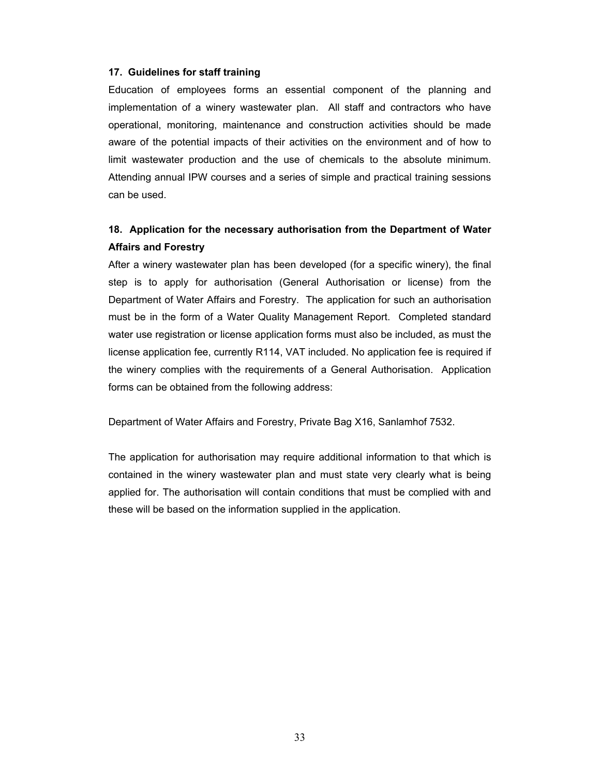# **17. Guidelines for staff training**

Education of employees forms an essential component of the planning and implementation of a winery wastewater plan. All staff and contractors who have operational, monitoring, maintenance and construction activities should be made aware of the potential impacts of their activities on the environment and of how to limit wastewater production and the use of chemicals to the absolute minimum. Attending annual IPW courses and a series of simple and practical training sessions can be used.

# **18. Application for the necessary authorisation from the Department of Water Affairs and Forestry**

After a winery wastewater plan has been developed (for a specific winery), the final step is to apply for authorisation (General Authorisation or license) from the Department of Water Affairs and Forestry. The application for such an authorisation must be in the form of a Water Quality Management Report. Completed standard water use registration or license application forms must also be included, as must the license application fee, currently R114, VAT included. No application fee is required if the winery complies with the requirements of a General Authorisation. Application forms can be obtained from the following address:

Department of Water Affairs and Forestry, Private Bag X16, Sanlamhof 7532.

The application for authorisation may require additional information to that which is contained in the winery wastewater plan and must state very clearly what is being applied for. The authorisation will contain conditions that must be complied with and these will be based on the information supplied in the application.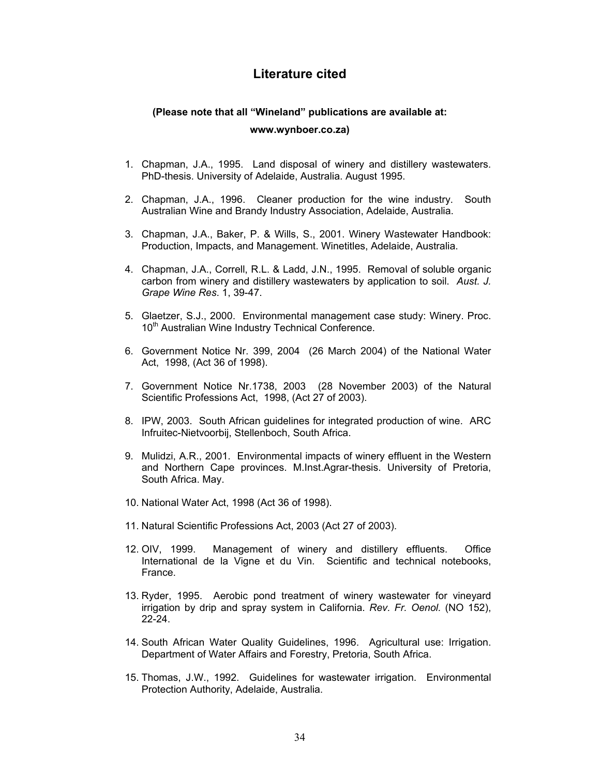# **Literature cited**

# **(Please note that all "Wineland" publications are available at: www.wynboer.co.za)**

- 1. Chapman, J.A., 1995. Land disposal of winery and distillery wastewaters. PhD-thesis. University of Adelaide, Australia. August 1995.
- 2. Chapman, J.A., 1996. Cleaner production for the wine industry. South Australian Wine and Brandy Industry Association, Adelaide, Australia.
- 3. Chapman, J.A., Baker, P. & Wills, S., 2001. Winery Wastewater Handbook: Production, Impacts, and Management. Winetitles, Adelaide, Australia.
- 4. Chapman, J.A., Correll, R.L. & Ladd, J.N., 1995. Removal of soluble organic carbon from winery and distillery wastewaters by application to soil. *Aust. J. Grape Wine Res*. 1, 39-47.
- 5. Glaetzer, S.J., 2000. Environmental management case study: Winery. Proc. 10<sup>th</sup> Australian Wine Industry Technical Conference.
- 6. Government Notice Nr. 399, 2004 (26 March 2004) of the National Water Act, 1998, (Act 36 of 1998).
- 7. Government Notice Nr.1738, 2003 (28 November 2003) of the Natural Scientific Professions Act, 1998, (Act 27 of 2003).
- 8. IPW, 2003. South African guidelines for integrated production of wine. ARC Infruitec-Nietvoorbij, Stellenboch, South Africa.
- 9. Mulidzi, A.R., 2001. Environmental impacts of winery effluent in the Western and Northern Cape provinces. M.Inst.Agrar-thesis. University of Pretoria, South Africa. May.
- 10. National Water Act, 1998 (Act 36 of 1998).
- 11. Natural Scientific Professions Act, 2003 (Act 27 of 2003).
- 12. OIV, 1999. Management of winery and distillery effluents. Office International de la Vigne et du Vin. Scientific and technical notebooks, France.
- 13. Ryder, 1995. Aerobic pond treatment of winery wastewater for vineyard irrigation by drip and spray system in California. *Rev. Fr. Oenol.* (NO 152), 22-24.
- 14. South African Water Quality Guidelines, 1996. Agricultural use: Irrigation. Department of Water Affairs and Forestry, Pretoria, South Africa.
- 15. Thomas, J.W., 1992. Guidelines for wastewater irrigation. Environmental Protection Authority, Adelaide, Australia.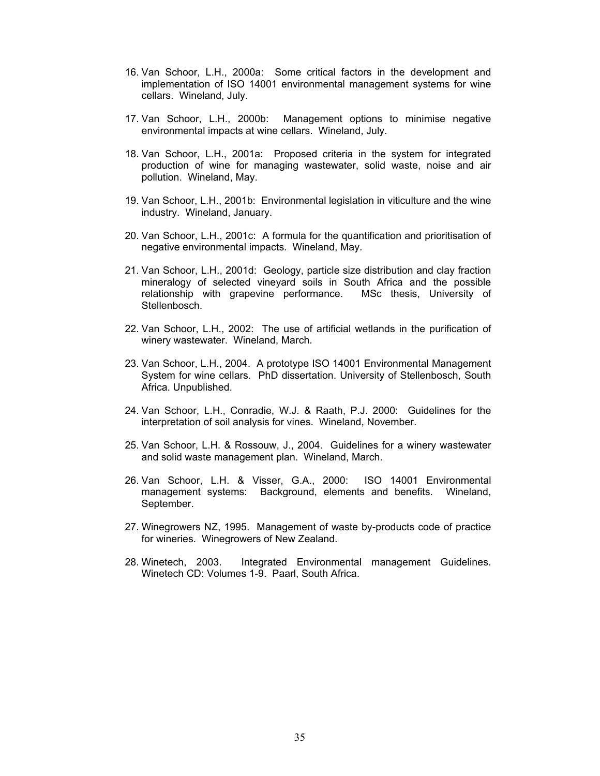- 16. Van Schoor, L.H., 2000a: Some critical factors in the development and implementation of ISO 14001 environmental management systems for wine cellars. Wineland, July.
- 17. Van Schoor, L.H., 2000b: Management options to minimise negative environmental impacts at wine cellars. Wineland, July.
- 18. Van Schoor, L.H., 2001a: Proposed criteria in the system for integrated production of wine for managing wastewater, solid waste, noise and air pollution. Wineland, May.
- 19. Van Schoor, L.H., 2001b: Environmental legislation in viticulture and the wine industry. Wineland, January.
- 20. Van Schoor, L.H., 2001c: A formula for the quantification and prioritisation of negative environmental impacts. Wineland, May.
- 21. Van Schoor, L.H., 2001d: Geology, particle size distribution and clay fraction mineralogy of selected vineyard soils in South Africa and the possible relationship with grapevine performance. MSc thesis, University of Stellenbosch.
- 22. Van Schoor, L.H., 2002: The use of artificial wetlands in the purification of winery wastewater. Wineland, March.
- 23. Van Schoor, L.H., 2004. A prototype ISO 14001 Environmental Management System for wine cellars. PhD dissertation. University of Stellenbosch, South Africa. Unpublished.
- 24. Van Schoor, L.H., Conradie, W.J. & Raath, P.J. 2000: Guidelines for the interpretation of soil analysis for vines. Wineland, November.
- 25. Van Schoor, L.H. & Rossouw, J., 2004. Guidelines for a winery wastewater and solid waste management plan. Wineland, March.
- 26. Van Schoor, L.H. & Visser, G.A., 2000: ISO 14001 Environmental management systems: Background, elements and benefits. Wineland, September.
- 27. Winegrowers NZ, 1995. Management of waste by-products code of practice for wineries. Winegrowers of New Zealand.
- 28. Winetech, 2003. Integrated Environmental management Guidelines. Winetech CD: Volumes 1-9. Paarl, South Africa.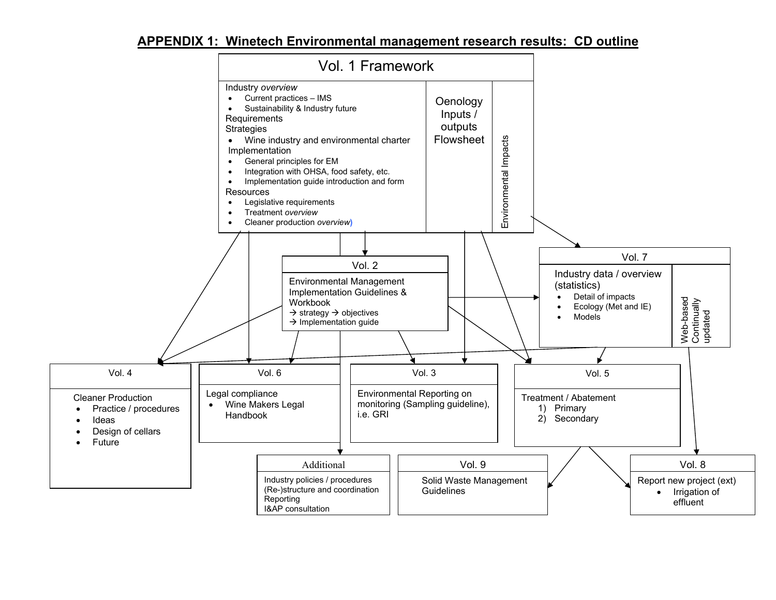# **APPENDIX 1: Winetech Environmental management research results: CD outline**